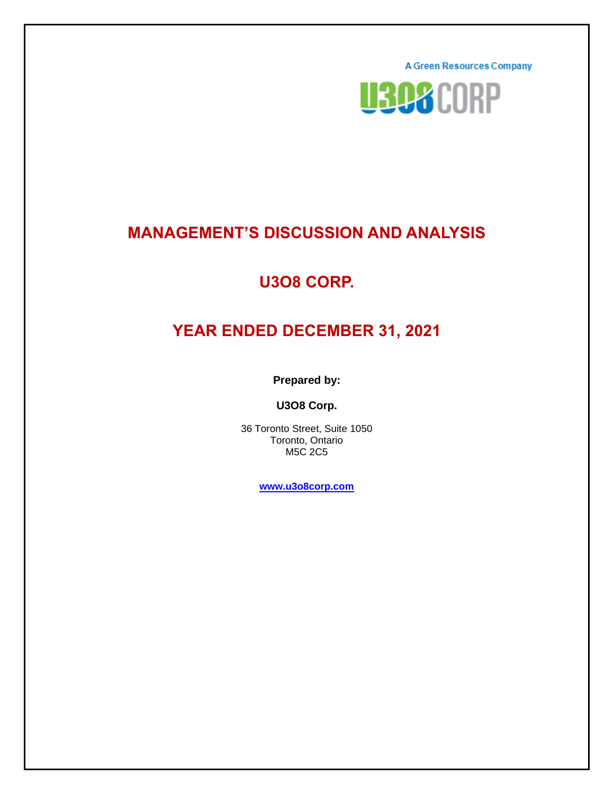**A Green Resources Company** 



# **MANAGEMENT'S DISCUSSION AND ANALYSIS**

# **U3O8 CORP.**

# **YEAR ENDED DECEMBER 31, 2021**

**Prepared by:**

**U3O8 Corp.**

36 Toronto Street, Suite 1050 Toronto, Ontario M5C 2C5

**[www.u3o8corp.com](http://www.u3o8corp.com/)**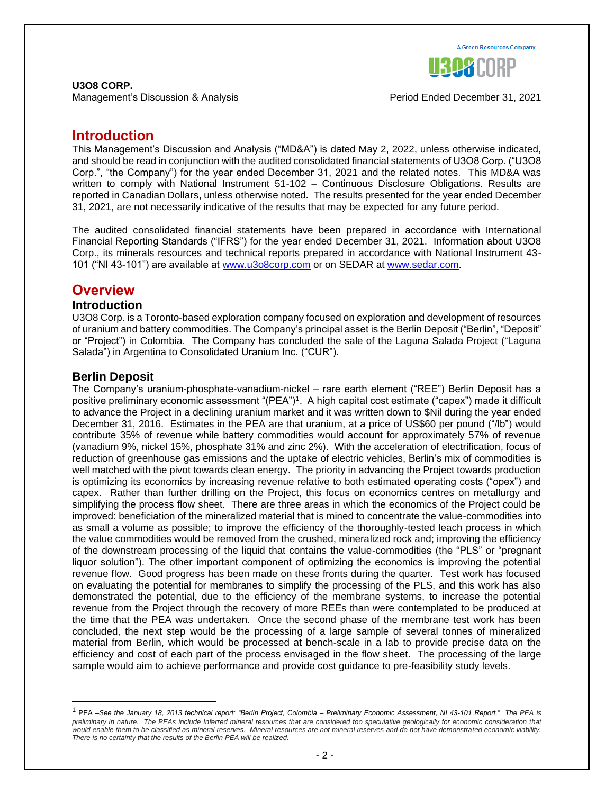

Management's Discussion & Analysis Period Ended December 31, 2021

### **Introduction**

This Management's Discussion and Analysis ("MD&A") is dated May 2, 2022, unless otherwise indicated, and should be read in conjunction with the audited consolidated financial statements of U3O8 Corp. ("U3O8 Corp.", "the Company") for the year ended December 31, 2021 and the related notes. This MD&A was written to comply with National Instrument 51-102 – Continuous Disclosure Obligations. Results are reported in Canadian Dollars, unless otherwise noted. The results presented for the year ended December 31, 2021, are not necessarily indicative of the results that may be expected for any future period.

The audited consolidated financial statements have been prepared in accordance with International Financial Reporting Standards ("IFRS") for the year ended December 31, 2021. Information about U3O8 Corp., its minerals resources and technical reports prepared in accordance with National Instrument 43- 101 ("NI 43-101") are available at [www.u3o8corp.com](http://www.u3o8corp.com/) or on SEDAR at www.sedar.com.

### **Overview**

#### **Introduction**

U3O8 Corp. is a Toronto-based exploration company focused on exploration and development of resources of uranium and battery commodities. The Company's principal asset is the Berlin Deposit ("Berlin", "Deposit" or "Project") in Colombia. The Company has concluded the sale of the Laguna Salada Project ("Laguna Salada") in Argentina to Consolidated Uranium Inc. ("CUR").

### **Berlin Deposit**

The Company's uranium-phosphate-vanadium-nickel – rare earth element ("REE") Berlin Deposit has a positive preliminary economic assessment "(PEA")<sup>1</sup>. A high capital cost estimate ("capex") made it difficult to advance the Project in a declining uranium market and it was written down to \$Nil during the year ended December 31, 2016. Estimates in the PEA are that uranium, at a price of US\$60 per pound ("/lb") would contribute 35% of revenue while battery commodities would account for approximately 57% of revenue (vanadium 9%, nickel 15%, phosphate 31% and zinc 2%). With the acceleration of electrification, focus of reduction of greenhouse gas emissions and the uptake of electric vehicles, Berlin's mix of commodities is well matched with the pivot towards clean energy. The priority in advancing the Project towards production is optimizing its economics by increasing revenue relative to both estimated operating costs ("opex") and capex. Rather than further drilling on the Project, this focus on economics centres on metallurgy and simplifying the process flow sheet. There are three areas in which the economics of the Project could be improved: beneficiation of the mineralized material that is mined to concentrate the value-commodities into as small a volume as possible; to improve the efficiency of the thoroughly-tested leach process in which the value commodities would be removed from the crushed, mineralized rock and; improving the efficiency of the downstream processing of the liquid that contains the value-commodities (the "PLS" or "pregnant liquor solution"). The other important component of optimizing the economics is improving the potential revenue flow. Good progress has been made on these fronts during the quarter. Test work has focused on evaluating the potential for membranes to simplify the processing of the PLS, and this work has also demonstrated the potential, due to the efficiency of the membrane systems, to increase the potential revenue from the Project through the recovery of more REEs than were contemplated to be produced at the time that the PEA was undertaken. Once the second phase of the membrane test work has been concluded, the next step would be the processing of a large sample of several tonnes of mineralized material from Berlin, which would be processed at bench-scale in a lab to provide precise data on the efficiency and cost of each part of the process envisaged in the flow sheet. The processing of the large sample would aim to achieve performance and provide cost guidance to pre-feasibility study levels.

<sup>1</sup> PEA –*See the January 18, 2013 technical report: "Berlin Project, Colombia – Preliminary Economic Assessment, NI 43-101 Report." The PEA is preliminary in nature. The PEAs include Inferred mineral resources that are considered too speculative geologically for economic consideration that would enable them to be classified as mineral reserves. Mineral resources are not mineral reserves and do not have demonstrated economic viability. There is no certainty that the results of the Berlin PEA will be realized.*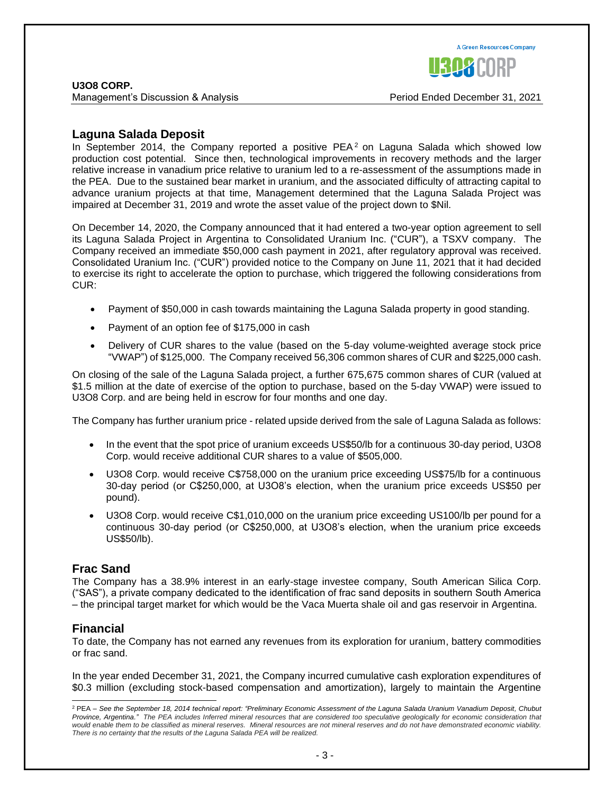Management's Discussion & Analysis Period Ended December 31, 2021

**A Green Resources Company** 

#### **Laguna Salada Deposit**

In September 2014, the Company reported a positive  $PEA<sup>2</sup>$  on Laguna Salada which showed low production cost potential. Since then, technological improvements in recovery methods and the larger relative increase in vanadium price relative to uranium led to a re-assessment of the assumptions made in the PEA. Due to the sustained bear market in uranium, and the associated difficulty of attracting capital to advance uranium projects at that time, Management determined that the Laguna Salada Project was impaired at December 31, 2019 and wrote the asset value of the project down to \$Nil.

On December 14, 2020, the Company announced that it had entered a two-year option agreement to sell its Laguna Salada Project in Argentina to Consolidated Uranium Inc. ("CUR"), a TSXV company. The Company received an immediate \$50,000 cash payment in 2021, after regulatory approval was received. Consolidated Uranium Inc. ("CUR") provided notice to the Company on June 11, 2021 that it had decided to exercise its right to accelerate the option to purchase, which triggered the following considerations from CUR:

- Payment of \$50,000 in cash towards maintaining the Laguna Salada property in good standing.
- Payment of an option fee of \$175,000 in cash
- Delivery of CUR shares to the value (based on the 5-day volume-weighted average stock price "VWAP") of \$125,000. The Company received 56,306 common shares of CUR and \$225,000 cash.

On closing of the sale of the Laguna Salada project, a further 675,675 common shares of CUR (valued at \$1.5 million at the date of exercise of the option to purchase, based on the 5-day VWAP) were issued to U3O8 Corp. and are being held in escrow for four months and one day.

The Company has further uranium price - related upside derived from the sale of Laguna Salada as follows:

- In the event that the spot price of uranium exceeds US\$50/lb for a continuous 30-day period, U3O8 Corp. would receive additional CUR shares to a value of \$505,000.
- U3O8 Corp. would receive C\$758,000 on the uranium price exceeding US\$75/lb for a continuous 30-day period (or C\$250,000, at U3O8's election, when the uranium price exceeds US\$50 per pound).
- U3O8 Corp. would receive C\$1,010,000 on the uranium price exceeding US100/lb per pound for a continuous 30-day period (or C\$250,000, at U3O8's election, when the uranium price exceeds US\$50/lb).

#### **Frac Sand**

The Company has a 38.9% interest in an early-stage investee company, South American Silica Corp. ("SAS"), a private company dedicated to the identification of frac sand deposits in southern South America – the principal target market for which would be the Vaca Muerta shale oil and gas reservoir in Argentina.

#### **Financial**

To date, the Company has not earned any revenues from its exploration for uranium, battery commodities or frac sand.

In the year ended December 31, 2021, the Company incurred cumulative cash exploration expenditures of \$0.3 million (excluding stock-based compensation and amortization), largely to maintain the Argentine

<sup>2</sup> PEA – *See the September 18, 2014 technical report: "Preliminary Economic Assessment of the Laguna Salada Uranium Vanadium Deposit, Chubut Province, Argentina." The PEA includes Inferred mineral resources that are considered too speculative geologically for economic consideration that would enable them to be classified as mineral reserves. Mineral resources are not mineral reserves and do not have demonstrated economic viability. There is no certainty that the results of the Laguna Salada PEA will be realized.*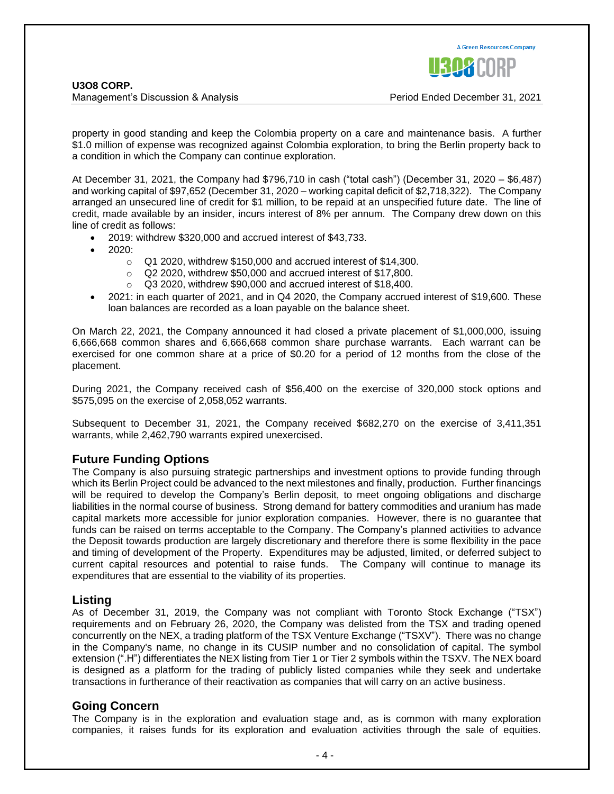Management's Discussion & Analysis Period Ended December 31, 2021

property in good standing and keep the Colombia property on a care and maintenance basis. A further \$1.0 million of expense was recognized against Colombia exploration, to bring the Berlin property back to a condition in which the Company can continue exploration.

At December 31, 2021, the Company had \$796,710 in cash ("total cash") (December 31, 2020 – \$6,487) and working capital of \$97,652 (December 31, 2020 – working capital deficit of \$2,718,322). The Company arranged an unsecured line of credit for \$1 million, to be repaid at an unspecified future date. The line of credit, made available by an insider, incurs interest of 8% per annum. The Company drew down on this line of credit as follows:

- 2019: withdrew \$320,000 and accrued interest of \$43,733.
- 2020:
	- $\circ$  Q1 2020, withdrew \$150,000 and accrued interest of \$14,300.
	- $\circ$  Q2 2020, withdrew \$50,000 and accrued interest of \$17,800.
	- o Q3 2020, withdrew \$90,000 and accrued interest of \$18,400.
- 2021: in each quarter of 2021, and in Q4 2020, the Company accrued interest of \$19,600. These loan balances are recorded as a loan payable on the balance sheet.

On March 22, 2021, the Company announced it had closed a private placement of \$1,000,000, issuing 6,666,668 common shares and 6,666,668 common share purchase warrants. Each warrant can be exercised for one common share at a price of \$0.20 for a period of 12 months from the close of the placement.

During 2021, the Company received cash of \$56,400 on the exercise of 320,000 stock options and \$575,095 on the exercise of 2,058,052 warrants.

Subsequent to December 31, 2021, the Company received \$682,270 on the exercise of 3,411,351 warrants, while 2,462,790 warrants expired unexercised.

#### **Future Funding Options**

The Company is also pursuing strategic partnerships and investment options to provide funding through which its Berlin Project could be advanced to the next milestones and finally, production. Further financings will be required to develop the Company's Berlin deposit, to meet ongoing obligations and discharge liabilities in the normal course of business. Strong demand for battery commodities and uranium has made capital markets more accessible for junior exploration companies. However, there is no guarantee that funds can be raised on terms acceptable to the Company. The Company's planned activities to advance the Deposit towards production are largely discretionary and therefore there is some flexibility in the pace and timing of development of the Property. Expenditures may be adjusted, limited, or deferred subject to current capital resources and potential to raise funds. The Company will continue to manage its expenditures that are essential to the viability of its properties.

#### **Listing**

As of December 31, 2019, the Company was not compliant with Toronto Stock Exchange ("TSX") requirements and on February 26, 2020, the Company was delisted from the TSX and trading opened concurrently on the NEX, a trading platform of the TSX Venture Exchange ("TSXV"). There was no change in the Company's name, no change in its CUSIP number and no consolidation of capital. The symbol extension (".H") differentiates the NEX listing from Tier 1 or Tier 2 symbols within the TSXV. The NEX board is designed as a platform for the trading of publicly listed companies while they seek and undertake transactions in furtherance of their reactivation as companies that will carry on an active business.

#### **Going Concern**

The Company is in the exploration and evaluation stage and, as is common with many exploration companies, it raises funds for its exploration and evaluation activities through the sale of equities.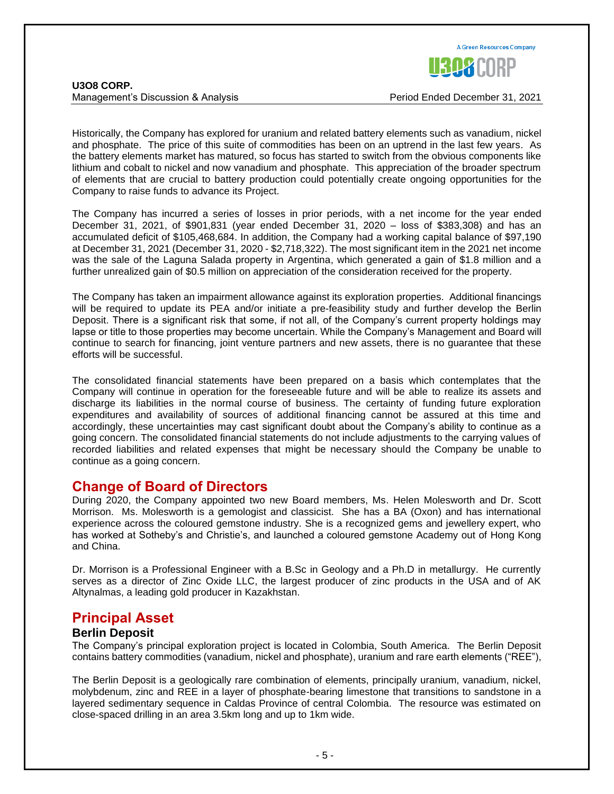

**U3O8 CORP.** Management's Discussion & Analysis Period Ended December 31, 2021

Historically, the Company has explored for uranium and related battery elements such as vanadium, nickel and phosphate. The price of this suite of commodities has been on an uptrend in the last few years. As the battery elements market has matured, so focus has started to switch from the obvious components like lithium and cobalt to nickel and now vanadium and phosphate. This appreciation of the broader spectrum of elements that are crucial to battery production could potentially create ongoing opportunities for the Company to raise funds to advance its Project.

The Company has incurred a series of losses in prior periods, with a net income for the year ended December 31, 2021, of \$901,831 (year ended December 31, 2020 – loss of \$383,308) and has an accumulated deficit of \$105,468,684. In addition, the Company had a working capital balance of \$97,190 at December 31, 2021 (December 31, 2020 - \$2,718,322). The most significant item in the 2021 net income was the sale of the Laguna Salada property in Argentina, which generated a gain of \$1.8 million and a further unrealized gain of \$0.5 million on appreciation of the consideration received for the property.

The Company has taken an impairment allowance against its exploration properties. Additional financings will be required to update its PEA and/or initiate a pre-feasibility study and further develop the Berlin Deposit. There is a significant risk that some, if not all, of the Company's current property holdings may lapse or title to those properties may become uncertain. While the Company's Management and Board will continue to search for financing, joint venture partners and new assets, there is no guarantee that these efforts will be successful.

The consolidated financial statements have been prepared on a basis which contemplates that the Company will continue in operation for the foreseeable future and will be able to realize its assets and discharge its liabilities in the normal course of business. The certainty of funding future exploration expenditures and availability of sources of additional financing cannot be assured at this time and accordingly, these uncertainties may cast significant doubt about the Company's ability to continue as a going concern. The consolidated financial statements do not include adjustments to the carrying values of recorded liabilities and related expenses that might be necessary should the Company be unable to continue as a going concern.

### **Change of Board of Directors**

During 2020, the Company appointed two new Board members, Ms. Helen Molesworth and Dr. Scott Morrison. Ms. Molesworth is a gemologist and classicist. She has a BA (Oxon) and has international experience across the coloured gemstone industry. She is a recognized gems and jewellery expert, who has worked at Sotheby's and Christie's, and launched a coloured gemstone Academy out of Hong Kong and China.

Dr. Morrison is a Professional Engineer with a B.Sc in Geology and a Ph.D in metallurgy. He currently serves as a director of Zinc Oxide LLC, the largest producer of zinc products in the USA and of AK Altynalmas, a leading gold producer in Kazakhstan.

### **Principal Asset**

### **Berlin Deposit**

The Company's principal exploration project is located in Colombia, South America. The Berlin Deposit contains battery commodities (vanadium, nickel and phosphate), uranium and rare earth elements ("REE"),

The Berlin Deposit is a geologically rare combination of elements, principally uranium, vanadium, nickel, molybdenum, zinc and REE in a layer of phosphate-bearing limestone that transitions to sandstone in a layered sedimentary sequence in Caldas Province of central Colombia. The resource was estimated on close-spaced drilling in an area 3.5km long and up to 1km wide.

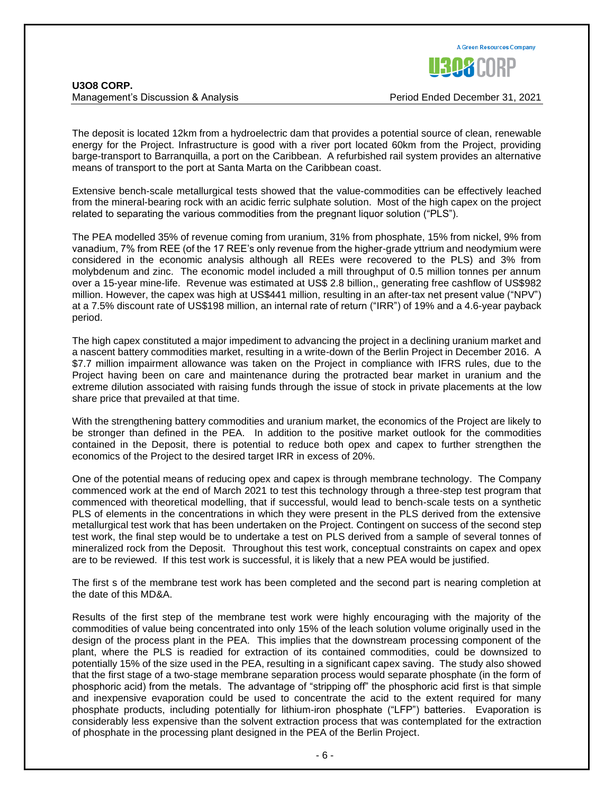| <b>U308 CORP.</b>                  |  |
|------------------------------------|--|
| Management's Discussion & Analysis |  |

The deposit is located 12km from a hydroelectric dam that provides a potential source of clean, renewable energy for the Project. Infrastructure is good with a river port located 60km from the Project, providing barge-transport to Barranquilla, a port on the Caribbean. A refurbished rail system provides an alternative means of transport to the port at Santa Marta on the Caribbean coast.

Extensive bench-scale metallurgical tests showed that the value-commodities can be effectively leached from the mineral-bearing rock with an acidic ferric sulphate solution. Most of the high capex on the project related to separating the various commodities from the pregnant liquor solution ("PLS").

The PEA modelled 35% of revenue coming from uranium, 31% from phosphate, 15% from nickel, 9% from vanadium, 7% from REE (of the 17 REE's only revenue from the higher-grade yttrium and neodymium were considered in the economic analysis although all REEs were recovered to the PLS) and 3% from molybdenum and zinc. The economic model included a mill throughput of 0.5 million tonnes per annum over a 15-year mine-life. Revenue was estimated at US\$ 2.8 billion,, generating free cashflow of US\$982 million. However, the capex was high at US\$441 million, resulting in an after-tax net present value ("NPV") at a 7.5% discount rate of US\$198 million, an internal rate of return ("IRR") of 19% and a 4.6-year payback period.

The high capex constituted a major impediment to advancing the project in a declining uranium market and a nascent battery commodities market, resulting in a write-down of the Berlin Project in December 2016. A \$7.7 million impairment allowance was taken on the Project in compliance with IFRS rules, due to the Project having been on care and maintenance during the protracted bear market in uranium and the extreme dilution associated with raising funds through the issue of stock in private placements at the low share price that prevailed at that time.

With the strengthening battery commodities and uranium market, the economics of the Project are likely to be stronger than defined in the PEA. In addition to the positive market outlook for the commodities contained in the Deposit, there is potential to reduce both opex and capex to further strengthen the economics of the Project to the desired target IRR in excess of 20%.

One of the potential means of reducing opex and capex is through membrane technology. The Company commenced work at the end of March 2021 to test this technology through a three-step test program that commenced with theoretical modelling, that if successful, would lead to bench-scale tests on a synthetic PLS of elements in the concentrations in which they were present in the PLS derived from the extensive metallurgical test work that has been undertaken on the Project. Contingent on success of the second step test work, the final step would be to undertake a test on PLS derived from a sample of several tonnes of mineralized rock from the Deposit. Throughout this test work, conceptual constraints on capex and opex are to be reviewed. If this test work is successful, it is likely that a new PEA would be justified.

The first s of the membrane test work has been completed and the second part is nearing completion at the date of this MD&A.

Results of the first step of the membrane test work were highly encouraging with the majority of the commodities of value being concentrated into only 15% of the leach solution volume originally used in the design of the process plant in the PEA. This implies that the downstream processing component of the plant, where the PLS is readied for extraction of its contained commodities, could be downsized to potentially 15% of the size used in the PEA, resulting in a significant capex saving. The study also showed that the first stage of a two-stage membrane separation process would separate phosphate (in the form of phosphoric acid) from the metals. The advantage of "stripping off" the phosphoric acid first is that simple and inexpensive evaporation could be used to concentrate the acid to the extent required for many phosphate products, including potentially for lithium-iron phosphate ("LFP") batteries. Evaporation is considerably less expensive than the solvent extraction process that was contemplated for the extraction of phosphate in the processing plant designed in the PEA of the Berlin Project.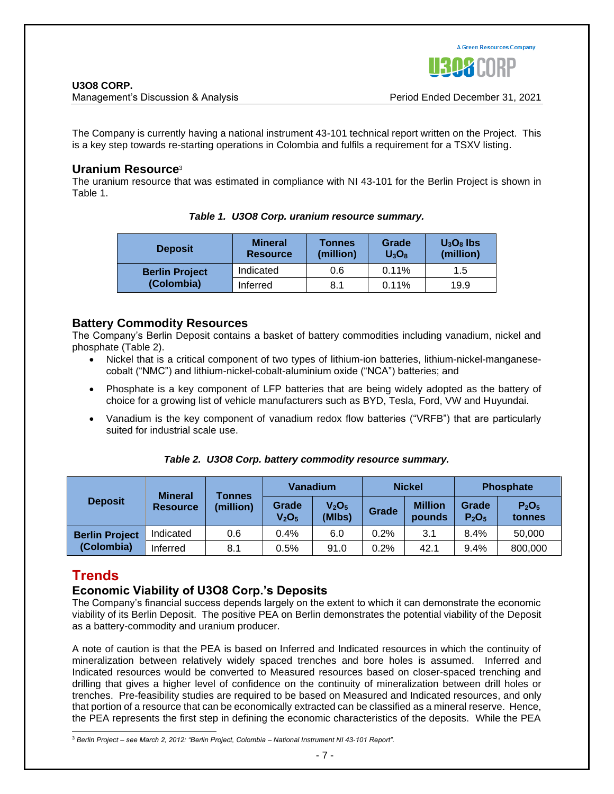

Management's Discussion & Analysis Period Ended December 31, 2021

The Company is currently having a national instrument 43-101 technical report written on the Project. This is a key step towards re-starting operations in Colombia and fulfils a requirement for a TSXV listing.

#### **Uranium Resource**<sup>3</sup>

The uranium resource that was estimated in compliance with NI 43-101 for the Berlin Project is shown in Table 1.

| <b>Deposit</b>        | <b>Mineral</b><br><b>Resource</b> | Tonnes<br>(million) | Grade<br>$U_3O_8$ | $U_3O_8$ lbs<br>(million) |
|-----------------------|-----------------------------------|---------------------|-------------------|---------------------------|
| <b>Berlin Project</b> | Indicated                         | 0.6                 | 0.11%             | 1.5                       |
| (Colombia)            | Inferred                          | 8.1                 | 0.11%             | 19.9                      |

*Table 1. U3O8 Corp. uranium resource summary.*

### **Battery Commodity Resources**

The Company's Berlin Deposit contains a basket of battery commodities including vanadium, nickel and phosphate (Table 2).

- Nickel that is a critical component of two types of lithium-ion batteries, lithium-nickel-manganesecobalt ("NMC") and lithium-nickel-cobalt-aluminium oxide ("NCA") batteries; and
- Phosphate is a key component of LFP batteries that are being widely adopted as the battery of choice for a growing list of vehicle manufacturers such as BYD, Tesla, Ford, VW and Huyundai.
- Vanadium is the key component of vanadium redox flow batteries ("VRFB") that are particularly suited for industrial scale use.

| <b>Deposit</b>                      |                              | <b>Vanadium</b><br><b>Mineral</b><br>Tonnes |                                         | <b>Nickel</b> |                          | <b>Phosphate</b>                       |                                         |         |
|-------------------------------------|------------------------------|---------------------------------------------|-----------------------------------------|---------------|--------------------------|----------------------------------------|-----------------------------------------|---------|
|                                     | (million)<br><b>Resource</b> | Grade<br>V <sub>2</sub> O <sub>5</sub>      | V <sub>2</sub> O <sub>5</sub><br>(MIbs) | Grade         | <b>Million</b><br>pounds | Grade<br>P <sub>2</sub> O <sub>5</sub> | P <sub>2</sub> O <sub>5</sub><br>tonnes |         |
| <b>Berlin Project</b><br>(Colombia) | Indicated                    | 0.6                                         | 0.4%                                    | 6.0           | 0.2%                     | 3.1                                    | 8.4%                                    | 50,000  |
|                                     | Inferred                     | 8.1                                         | $0.5\%$                                 | 91.0          | 0.2%                     | 42.1                                   | 9.4%                                    | 800,000 |

#### *Table 2. U3O8 Corp. battery commodity resource summary.*

### **Trends**

### **Economic Viability of U3O8 Corp.'s Deposits**

The Company's financial success depends largely on the extent to which it can demonstrate the economic viability of its Berlin Deposit. The positive PEA on Berlin demonstrates the potential viability of the Deposit as a battery-commodity and uranium producer.

A note of caution is that the PEA is based on Inferred and Indicated resources in which the continuity of mineralization between relatively widely spaced trenches and bore holes is assumed. Inferred and Indicated resources would be converted to Measured resources based on closer-spaced trenching and drilling that gives a higher level of confidence on the continuity of mineralization between drill holes or trenches. Pre-feasibility studies are required to be based on Measured and Indicated resources, and only that portion of a resource that can be economically extracted can be classified as a mineral reserve. Hence, the PEA represents the first step in defining the economic characteristics of the deposits. While the PEA

<sup>3</sup> *Berlin Project – see March 2, 2012: "Berlin Project, Colombia – National Instrument NI 43-101 Report".*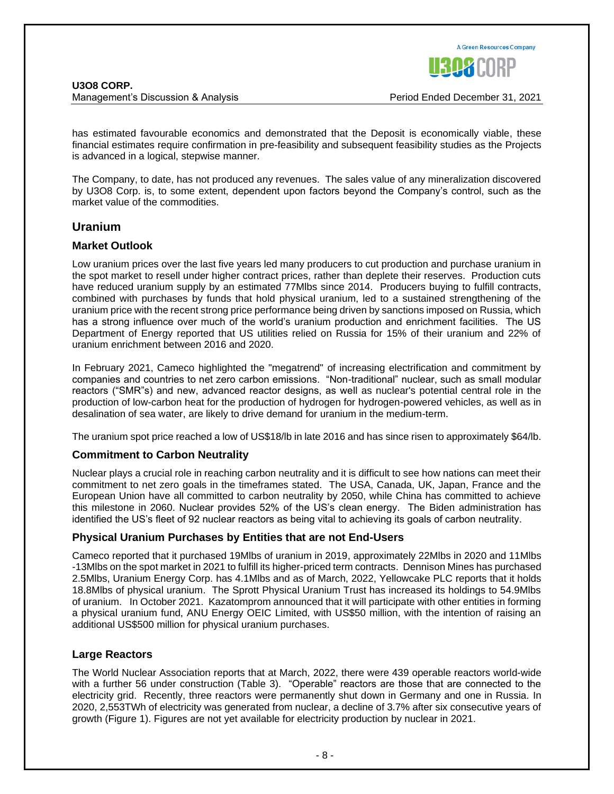has estimated favourable economics and demonstrated that the Deposit is economically viable, these financial estimates require confirmation in pre-feasibility and subsequent feasibility studies as the Projects is advanced in a logical, stepwise manner.

The Company, to date, has not produced any revenues. The sales value of any mineralization discovered by U3O8 Corp. is, to some extent, dependent upon factors beyond the Company's control, such as the market value of the commodities.

#### **Uranium**

#### **Market Outlook**

Low uranium prices over the last five years led many producers to cut production and purchase uranium in the spot market to resell under higher contract prices, rather than deplete their reserves. Production cuts have reduced uranium supply by an estimated 77Mlbs since 2014. Producers buying to fulfill contracts, combined with purchases by funds that hold physical uranium, led to a sustained strengthening of the uranium price with the recent strong price performance being driven by sanctions imposed on Russia, which has a strong influence over much of the world's uranium production and enrichment facilities. The US Department of Energy reported that US utilities relied on Russia for 15% of their uranium and 22% of uranium enrichment between 2016 and 2020.

In February 2021, Cameco highlighted the "megatrend" of increasing electrification and commitment by companies and countries to net zero carbon emissions. "Non-traditional" nuclear, such as small modular reactors ("SMR"s) and new, advanced reactor designs, as well as nuclear's potential central role in the production of low-carbon heat for the production of hydrogen for hydrogen-powered vehicles, as well as in desalination of sea water, are likely to drive demand for uranium in the medium-term.

The uranium spot price reached a low of US\$18/lb in late 2016 and has since risen to approximately \$64/lb.

#### **Commitment to Carbon Neutrality**

Nuclear plays a crucial role in reaching carbon neutrality and it is difficult to see how nations can meet their commitment to net zero goals in the timeframes stated. The USA, Canada, UK, Japan, France and the European Union have all committed to carbon neutrality by 2050, while China has committed to achieve this milestone in 2060. Nuclear provides 52% of the US's clean energy. The Biden administration has identified the US's fleet of 92 nuclear reactors as being vital to achieving its goals of carbon neutrality.

#### **Physical Uranium Purchases by Entities that are not End-Users**

Cameco reported that it purchased 19Mlbs of uranium in 2019, approximately 22Mlbs in 2020 and 11Mlbs -13Mlbs on the spot market in 2021 to fulfill its higher-priced term contracts. Dennison Mines has purchased 2.5Mlbs, Uranium Energy Corp. has 4.1Mlbs and as of March, 2022, Yellowcake PLC reports that it holds 18.8Mlbs of physical uranium. The Sprott Physical Uranium Trust has increased its holdings to 54.9Mlbs of uranium. In October 2021. Kazatomprom announced that it will participate with other entities in forming a physical uranium fund, ANU Energy OEIC Limited, with US\$50 million, with the intention of raising an additional US\$500 million for physical uranium purchases.

#### **Large Reactors**

The World Nuclear Association reports that at March, 2022, there were 439 operable reactors world-wide with a further 56 under construction (Table 3). "Operable" reactors are those that are connected to the electricity grid. Recently, three reactors were permanently shut down in Germany and one in Russia. In 2020, 2,553TWh of electricity was generated from nuclear, a decline of 3.7% after six consecutive years of growth (Figure 1). Figures are not yet available for electricity production by nuclear in 2021.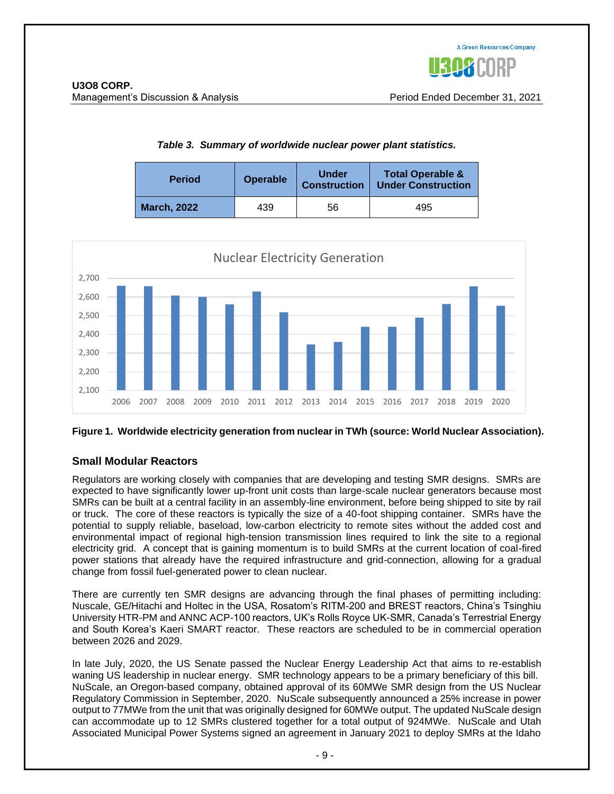#### **Period Operable Under Construction Total Operable & Under Construction March, 2022** 1 439 56 1 495

*Table 3. Summary of worldwide nuclear power plant statistics.*



#### **Figure 1. Worldwide electricity generation from nuclear in TWh (source: World Nuclear Association).**

#### **Small Modular Reactors**

Regulators are working closely with companies that are developing and testing SMR designs. SMRs are expected to have significantly lower up-front unit costs than large-scale nuclear generators because most SMRs can be built at a central facility in an assembly-line environment, before being shipped to site by rail or truck. The core of these reactors is typically the size of a 40-foot shipping container. SMRs have the potential to supply reliable, baseload, low-carbon electricity to remote sites without the added cost and environmental impact of regional high-tension transmission lines required to link the site to a regional electricity grid. A concept that is gaining momentum is to build SMRs at the current location of coal-fired power stations that already have the required infrastructure and grid-connection, allowing for a gradual change from fossil fuel-generated power to clean nuclear.

There are currently ten SMR designs are advancing through the final phases of permitting including: Nuscale, GE/Hitachi and Holtec in the USA, Rosatom's RITM-200 and BREST reactors, China's Tsinghiu University HTR-PM and ANNC ACP-100 reactors, UK's Rolls Royce UK-SMR, Canada's Terrestrial Energy and South Korea's Kaeri SMART reactor. These reactors are scheduled to be in commercial operation between 2026 and 2029.

In late July, 2020, the US Senate passed the Nuclear Energy Leadership Act that aims to re-establish waning US leadership in nuclear energy. SMR technology appears to be a primary beneficiary of this bill. NuScale, an Oregon-based company, obtained approval of its 60MWe SMR design from the US Nuclear Regulatory Commission in September, 2020. NuScale subsequently announced a 25% increase in power output to 77MWe from the unit that was originally designed for 60MWe output. The updated NuScale design can accommodate up to 12 SMRs clustered together for a total output of 924MWe. NuScale and Utah Associated Municipal Power Systems signed an agreement in January 2021 to deploy SMRs at the Idaho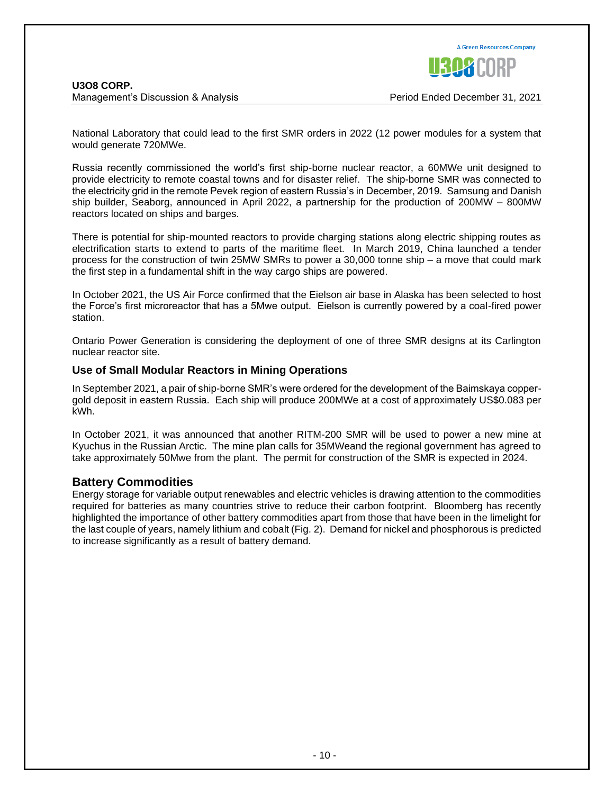National Laboratory that could lead to the first SMR orders in 2022 (12 power modules for a system that would generate 720MWe.

Russia recently commissioned the world's first ship-borne nuclear reactor, a 60MWe unit designed to provide electricity to remote coastal towns and for disaster relief. The ship-borne SMR was connected to the electricity grid in the remote Pevek region of eastern Russia's in December, 2019. Samsung and Danish ship builder, Seaborg, announced in April 2022, a partnership for the production of 200MW – 800MW reactors located on ships and barges.

There is potential for ship-mounted reactors to provide charging stations along electric shipping routes as electrification starts to extend to parts of the maritime fleet. In March 2019, China launched a tender process for the construction of twin 25MW SMRs to power a 30,000 tonne ship – a move that could mark the first step in a fundamental shift in the way cargo ships are powered.

In October 2021, the US Air Force confirmed that the Eielson air base in Alaska has been selected to host the Force's first microreactor that has a 5Mwe output. Eielson is currently powered by a coal-fired power station.

Ontario Power Generation is considering the deployment of one of three SMR designs at its Carlington nuclear reactor site.

#### **Use of Small Modular Reactors in Mining Operations**

In September 2021, a pair of ship-borne SMR's were ordered for the development of the Baimskaya coppergold deposit in eastern Russia. Each ship will produce 200MWe at a cost of approximately US\$0.083 per kWh.

In October 2021, it was announced that another RITM-200 SMR will be used to power a new mine at Kyuchus in the Russian Arctic. The mine plan calls for 35MWeand the regional government has agreed to take approximately 50Mwe from the plant. The permit for construction of the SMR is expected in 2024.

#### **Battery Commodities**

Energy storage for variable output renewables and electric vehicles is drawing attention to the commodities required for batteries as many countries strive to reduce their carbon footprint. Bloomberg has recently highlighted the importance of other battery commodities apart from those that have been in the limelight for the last couple of years, namely lithium and cobalt (Fig. 2). Demand for nickel and phosphorous is predicted to increase significantly as a result of battery demand.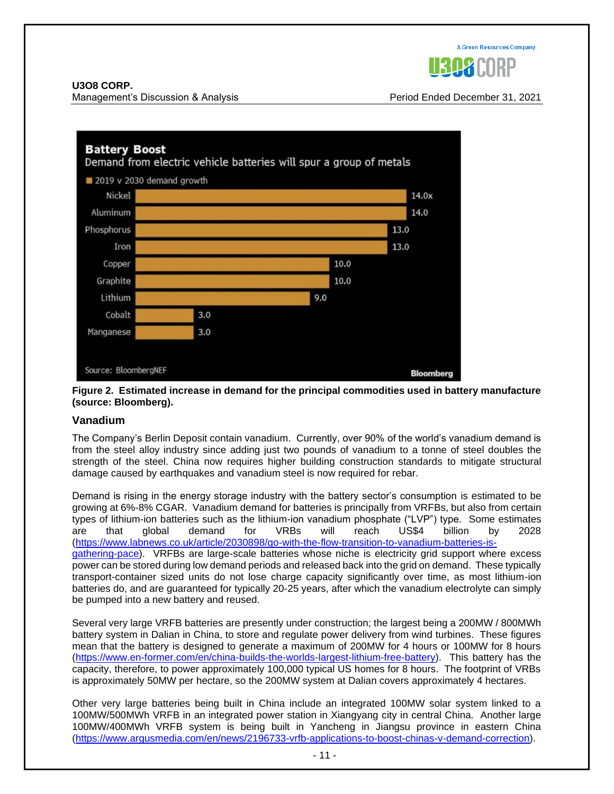

Management's Discussion & Analysis Period Ended December 31, 2021



#### **Figure 2. Estimated increase in demand for the principal commodities used in battery manufacture (source: Bloomberg).**

#### **Vanadium**

The Company's Berlin Deposit contain vanadium. Currently, over 90% of the world's vanadium demand is from the steel alloy industry since adding just two pounds of vanadium to a tonne of steel doubles the strength of the steel. China now requires higher building construction standards to mitigate structural damage caused by earthquakes and vanadium steel is now required for rebar.

Demand is rising in the energy storage industry with the battery sector's consumption is estimated to be growing at 6%-8% CGAR. Vanadium demand for batteries is principally from VRFBs, but also from certain types of lithium-ion batteries such as the lithium-ion vanadium phosphate ("LVP") type. Some estimates are that global demand for VRBs will reach US\$4 billion by 2028 [\(https://www.labnews.co.uk/article/2030898/go-with-the-flow-transition-to-vanadium-batteries-is](https://www.labnews.co.uk/article/2030898/go-with-the-flow-transition-to-vanadium-batteries-is-gathering-pace)[gathering-pace\)](https://www.labnews.co.uk/article/2030898/go-with-the-flow-transition-to-vanadium-batteries-is-gathering-pace). VRFBs are large-scale batteries whose niche is electricity grid support where excess power can be stored during low demand periods and released back into the grid on demand. These typically transport-container sized units do not lose charge capacity significantly over time, as most lithium-ion batteries do, and are guaranteed for typically 20-25 years, after which the vanadium electrolyte can simply be pumped into a new battery and reused.

Several very large VRFB batteries are presently under construction; the largest being a 200MW / 800MWh battery system in Dalian in China, to store and regulate power delivery from wind turbines. These figures mean that the battery is designed to generate a maximum of 200MW for 4 hours or 100MW for 8 hours [\(https://www.en-former.com/en/china-builds-the-worlds-largest-lithium-free-battery\)](https://www.en-former.com/en/china-builds-the-worlds-largest-lithium-free-battery). This battery has the capacity, therefore, to power approximately 100,000 typical US homes for 8 hours. The footprint of VRBs is approximately 50MW per hectare, so the 200MW system at Dalian covers approximately 4 hectares.

Other very large batteries being built in China include an integrated 100MW solar system linked to a 100MW/500MWh VRFB in an integrated power station in Xiangyang city in central China. Another large 100MW/400MWh VRFB system is being built in Yancheng in Jiangsu province in eastern China [\(https://www.argusmedia.com/en/news/2196733-vrfb-applications-to-boost-chinas-v-demand-correction\)](https://www.argusmedia.com/en/news/2196733-vrfb-applications-to-boost-chinas-v-demand-correction).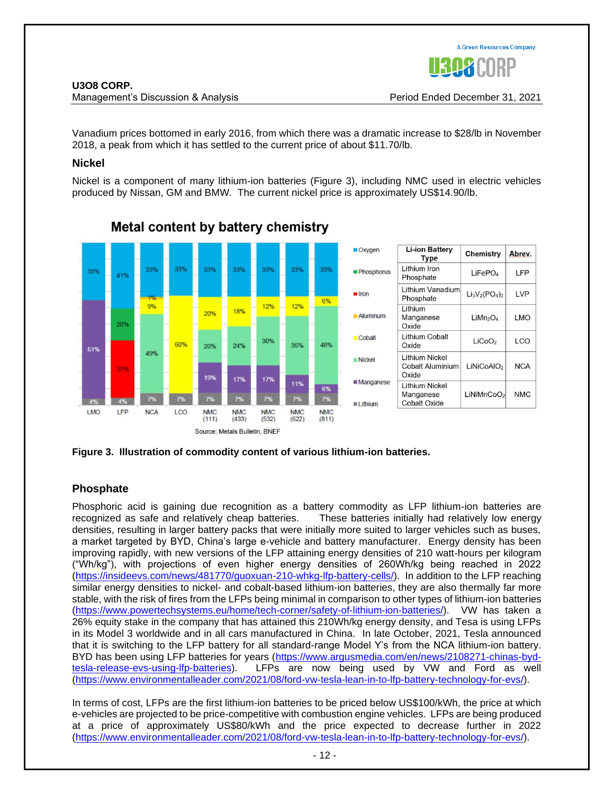

#### Management's Discussion & Analysis Period Ended December 31, 2021

Vanadium prices bottomed in early 2016, from which there was a dramatic increase to \$28/lb in November 2018, a peak from which it has settled to the current price of about \$11.70/lb.

#### **Nickel**

Nickel is a component of many lithium-ion batteries (Figure 3), including NMC used in electric vehicles produced by Nissan, GM and BMW. The current nickel price is approximately US\$14.90/lb.



### Metal content by battery chemistry

**Figure 3. Illustration of commodity content of various lithium-ion batteries.**

#### **Phosphate**

Phosphoric acid is gaining due recognition as a battery commodity as LFP lithium-ion batteries are recognized as safe and relatively cheap batteries. These batteries initially had relatively low energy densities, resulting in larger battery packs that were initially more suited to larger vehicles such as buses, a market targeted by BYD, China's large e-vehicle and battery manufacturer. Energy density has been improving rapidly, with new versions of the LFP attaining energy densities of 210 watt-hours per kilogram ("Wh/kg"), with projections of even higher energy densities of 260Wh/kg being reached in 2022 [\(https://insideevs.com/news/481770/guoxuan-210-whkg-lfp-battery-cells/\)](https://insideevs.com/news/481770/guoxuan-210-whkg-lfp-battery-cells/). In addition to the LFP reaching similar energy densities to nickel- and cobalt-based lithium-ion batteries, they are also thermally far more stable, with the risk of fires from the LFPs being minimal in comparison to other types of lithium-ion batteries [\(https://www.powertechsystems.eu/home/tech-corner/safety-of-lithium-ion-batteries/\)](https://www.powertechsystems.eu/home/tech-corner/safety-of-lithium-ion-batteries/). VW has taken a 26% equity stake in the company that has attained this 210Wh/kg energy density, and Tesa is using LFPs in its Model 3 worldwide and in all cars manufactured in China. In late October, 2021, Tesla announced that it is switching to the LFP battery for all standard-range Model Y's from the NCA lithium-ion battery. BYD has been using LFP batteries for years [\(https://www.argusmedia.com/en/news/2108271-chinas-byd](https://www.argusmedia.com/en/news/2108271-chinas-byd-tesla-release-evs-using-lfp-batteries)[tesla-release-evs-using-lfp-batteries\)](https://www.argusmedia.com/en/news/2108271-chinas-byd-tesla-release-evs-using-lfp-batteries). LFPs are now being used by VW and Ford as well [\(https://www.environmentalleader.com/2021/08/ford-vw-tesla-lean-in-to-lfp-battery-technology-for-evs/\)](https://www.environmentalleader.com/2021/08/ford-vw-tesla-lean-in-to-lfp-battery-technology-for-evs/).

In terms of cost, LFPs are the first lithium-ion batteries to be priced below US\$100/kWh, the price at which e-vehicles are projected to be price-competitive with combustion engine vehicles. LFPs are being produced at a price of approximately US\$80/kWh and the price expected to decrease further in 2022 [\(https://www.environmentalleader.com/2021/08/ford-vw-tesla-lean-in-to-lfp-battery-technology-for-evs/\)](https://www.environmentalleader.com/2021/08/ford-vw-tesla-lean-in-to-lfp-battery-technology-for-evs/).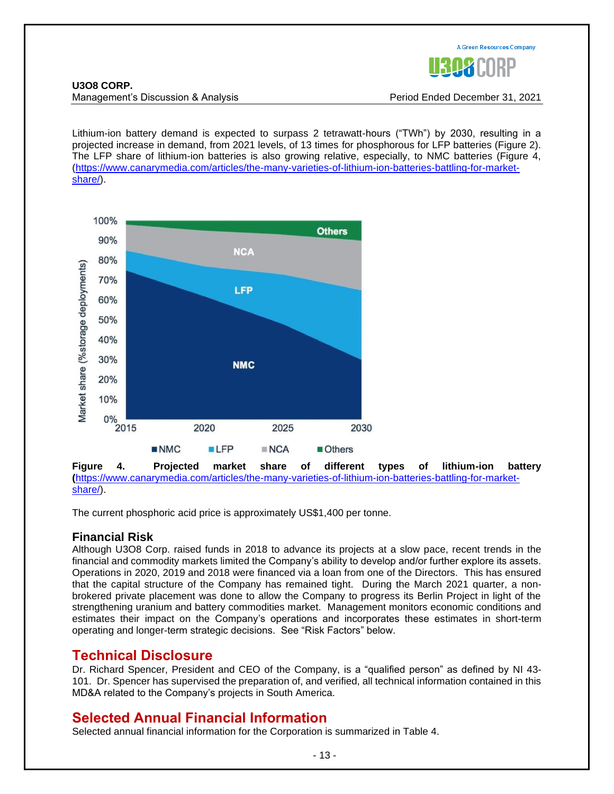

Management's Discussion & Analysis Period Ended December 31, 2021

Lithium-ion battery demand is expected to surpass 2 tetrawatt-hours ("TWh") by 2030, resulting in a projected increase in demand, from 2021 levels, of 13 times for phosphorous for LFP batteries (Figure 2). The LFP share of lithium-ion batteries is also growing relative, especially, to NMC batteries (Figure 4, [\(https://www.canarymedia.com/articles/the-many-varieties-of-lithium-ion-batteries-battling-for-market](https://www.canarymedia.com/articles/the-many-varieties-of-lithium-ion-batteries-battling-for-market-share/)[share/\)](https://www.canarymedia.com/articles/the-many-varieties-of-lithium-ion-batteries-battling-for-market-share/).



**Figure 4. Projected market share of different types of lithium-ion battery (**[https://www.canarymedia.com/articles/the-many-varieties-of-lithium-ion-batteries-battling-for-market](https://www.canarymedia.com/articles/the-many-varieties-of-lithium-ion-batteries-battling-for-market-share/)[share/\)](https://www.canarymedia.com/articles/the-many-varieties-of-lithium-ion-batteries-battling-for-market-share/).

The current phosphoric acid price is approximately US\$1,400 per tonne.

### **Financial Risk**

Although U3O8 Corp. raised funds in 2018 to advance its projects at a slow pace, recent trends in the financial and commodity markets limited the Company's ability to develop and/or further explore its assets. Operations in 2020, 2019 and 2018 were financed via a loan from one of the Directors. This has ensured that the capital structure of the Company has remained tight. During the March 2021 quarter, a nonbrokered private placement was done to allow the Company to progress its Berlin Project in light of the strengthening uranium and battery commodities market. Management monitors economic conditions and estimates their impact on the Company's operations and incorporates these estimates in short-term operating and longer-term strategic decisions. See "Risk Factors" below.

### **Technical Disclosure**

Dr. Richard Spencer, President and CEO of the Company, is a "qualified person" as defined by NI 43- 101. Dr. Spencer has supervised the preparation of, and verified, all technical information contained in this MD&A related to the Company's projects in South America.

### **Selected Annual Financial Information**

Selected annual financial information for the Corporation is summarized in Table 4.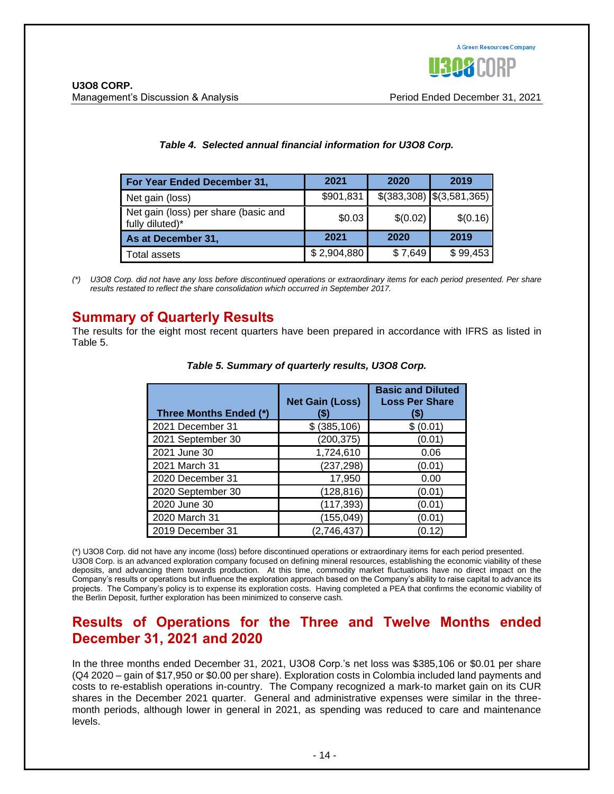| For Year Ended December 31,                             | 2021        | 2020     | 2019                            |
|---------------------------------------------------------|-------------|----------|---------------------------------|
| Net gain (loss)                                         | \$901,831   |          | $$(383,308) \quad $(3,581,365)$ |
| Net gain (loss) per share (basic and<br>fully diluted)* | \$0.03      | \$(0.02) | \$(0.16)                        |
| As at December 31,                                      | 2021        | 2020     | 2019                            |
| Total assets                                            | \$2,904,880 | \$7,649  | \$99,453                        |

#### *Table 4. Selected annual financial information for U3O8 Corp.*

*(\*) U3O8 Corp. did not have any loss before discontinued operations or extraordinary items for each period presented. Per share results restated to reflect the share consolidation which occurred in September 2017.*

### **Summary of Quarterly Results**

The results for the eight most recent quarters have been prepared in accordance with IFRS as listed in Table 5.

| Three Months Ended (*) | <b>Net Gain (Loss)</b><br>65 | <b>Basic and Diluted</b><br><b>Loss Per Share</b><br>S) |
|------------------------|------------------------------|---------------------------------------------------------|
| 2021 December 31       | \$ (385, 106)                | \$(0.01)                                                |
| 2021 September 30      | (200, 375)                   | (0.01)                                                  |
| 2021 June 30           | 1,724,610                    | 0.06                                                    |
| 2021 March 31          | (237, 298)                   | (0.01)                                                  |
| 2020 December 31       | 17,950                       | 0.00                                                    |
| 2020 September 30      | (128, 816)                   | (0.01)                                                  |
| 2020 June 30           | (117, 393)                   | (0.01)                                                  |
| 2020 March 31          | (155, 049)                   | (0.01                                                   |
| 2019 December 31       | (2,746,437)                  | (0.12)                                                  |

*Table 5. Summary of quarterly results, U3O8 Corp.*

(\*) U3O8 Corp. did not have any income (loss) before discontinued operations or extraordinary items for each period presented. U3O8 Corp. is an advanced exploration company focused on defining mineral resources, establishing the economic viability of these deposits, and advancing them towards production. At this time, commodity market fluctuations have no direct impact on the Company's results or operations but influence the exploration approach based on the Company's ability to raise capital to advance its projects. The Company's policy is to expense its exploration costs. Having completed a PEA that confirms the economic viability of the Berlin Deposit, further exploration has been minimized to conserve cash.

### **Results of Operations for the Three and Twelve Months ended December 31, 2021 and 2020**

In the three months ended December 31, 2021, U3O8 Corp.'s net loss was \$385,106 or \$0.01 per share (Q4 2020 – gain of \$17,950 or \$0.00 per share). Exploration costs in Colombia included land payments and costs to re-establish operations in-country. The Company recognized a mark-to market gain on its CUR shares in the December 2021 quarter. General and administrative expenses were similar in the threemonth periods, although lower in general in 2021, as spending was reduced to care and maintenance levels.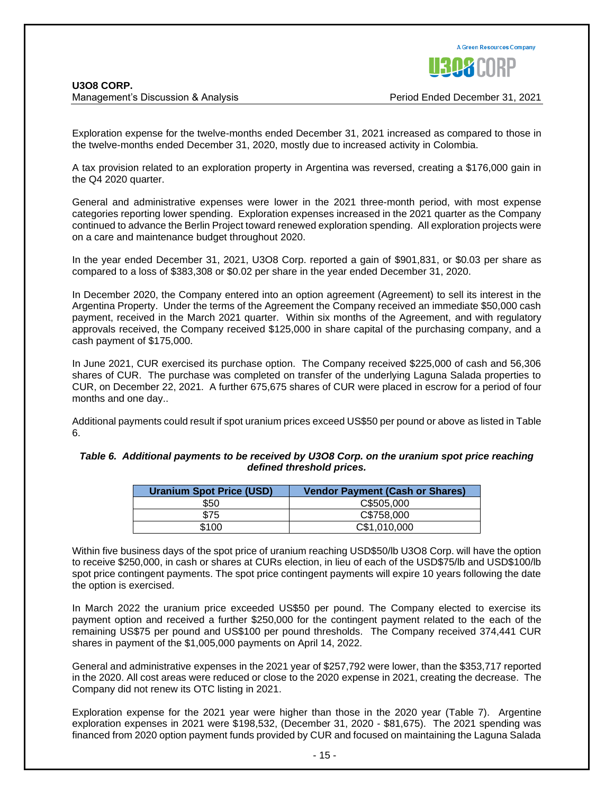

Exploration expense for the twelve-months ended December 31, 2021 increased as compared to those in the twelve-months ended December 31, 2020, mostly due to increased activity in Colombia.

A tax provision related to an exploration property in Argentina was reversed, creating a \$176,000 gain in the Q4 2020 quarter.

General and administrative expenses were lower in the 2021 three-month period, with most expense categories reporting lower spending. Exploration expenses increased in the 2021 quarter as the Company continued to advance the Berlin Project toward renewed exploration spending. All exploration projects were on a care and maintenance budget throughout 2020.

In the year ended December 31, 2021, U3O8 Corp. reported a gain of \$901,831, or \$0.03 per share as compared to a loss of \$383,308 or \$0.02 per share in the year ended December 31, 2020.

In December 2020, the Company entered into an option agreement (Agreement) to sell its interest in the Argentina Property. Under the terms of the Agreement the Company received an immediate \$50,000 cash payment, received in the March 2021 quarter. Within six months of the Agreement, and with regulatory approvals received, the Company received \$125,000 in share capital of the purchasing company, and a cash payment of \$175,000.

In June 2021, CUR exercised its purchase option. The Company received \$225,000 of cash and 56,306 shares of CUR. The purchase was completed on transfer of the underlying Laguna Salada properties to CUR, on December 22, 2021. A further 675,675 shares of CUR were placed in escrow for a period of four months and one day..

Additional payments could result if spot uranium prices exceed US\$50 per pound or above as listed in Table 6.

| Table 6. Additional payments to be received by U3O8 Corp. on the uranium spot price reaching |
|----------------------------------------------------------------------------------------------|
| defined threshold prices.                                                                    |

| <b>Uranium Spot Price (USD)</b> | <b>Vendor Payment (Cash or Shares)</b> |
|---------------------------------|----------------------------------------|
| \$50                            | C\$505,000                             |
| \$75                            | C\$758,000                             |
| \$100                           | C\$1,010,000                           |

Within five business days of the spot price of uranium reaching USD\$50/lb U3O8 Corp. will have the option to receive \$250,000, in cash or shares at CURs election, in lieu of each of the USD\$75/lb and USD\$100/lb spot price contingent payments. The spot price contingent payments will expire 10 years following the date the option is exercised.

In March 2022 the uranium price exceeded US\$50 per pound. The Company elected to exercise its payment option and received a further \$250,000 for the contingent payment related to the each of the remaining US\$75 per pound and US\$100 per pound thresholds. The Company received 374,441 CUR shares in payment of the \$1,005,000 payments on April 14, 2022.

General and administrative expenses in the 2021 year of \$257,792 were lower, than the \$353,717 reported in the 2020. All cost areas were reduced or close to the 2020 expense in 2021, creating the decrease. The Company did not renew its OTC listing in 2021.

Exploration expense for the 2021 year were higher than those in the 2020 year (Table 7). Argentine exploration expenses in 2021 were \$198,532, (December 31, 2020 - \$81,675). The 2021 spending was financed from 2020 option payment funds provided by CUR and focused on maintaining the Laguna Salada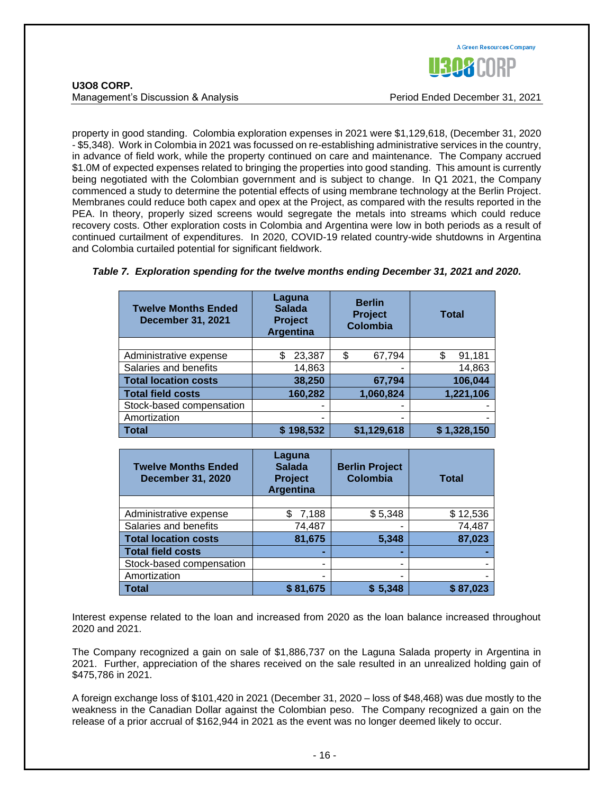

| <b>U308 CORP.</b>             |  |
|-------------------------------|--|
| Management's Discussion & Ana |  |

property in good standing. Colombia exploration expenses in 2021 were \$1,129,618, (December 31, 2020 - \$5,348). Work in Colombia in 2021 was focussed on re-establishing administrative services in the country, in advance of field work, while the property continued on care and maintenance. The Company accrued \$1.0M of expected expenses related to bringing the properties into good standing. This amount is currently being negotiated with the Colombian government and is subject to change. In Q1 2021, the Company commenced a study to determine the potential effects of using membrane technology at the Berlin Project. Membranes could reduce both capex and opex at the Project, as compared with the results reported in the PEA. In theory, properly sized screens would segregate the metals into streams which could reduce recovery costs. Other exploration costs in Colombia and Argentina were low in both periods as a result of continued curtailment of expenditures. In 2020, COVID-19 related country-wide shutdowns in Argentina and Colombia curtailed potential for significant fieldwork.

| <b>Twelve Months Ended</b><br><b>December 31, 2021</b> | Laguna<br><b>Salada</b><br><b>Project</b><br><b>Argentina</b> | <b>Berlin</b><br><b>Project</b><br><b>Colombia</b> | <b>Total</b> |
|--------------------------------------------------------|---------------------------------------------------------------|----------------------------------------------------|--------------|
|                                                        |                                                               |                                                    |              |
| Administrative expense                                 | \$<br>23,387                                                  | 67,794<br>\$                                       | 91,181<br>\$ |
| Salaries and benefits                                  | 14,863                                                        | -                                                  | 14,863       |
| <b>Total location costs</b>                            | 38,250                                                        | 67,794                                             | 106,044      |
| <b>Total field costs</b>                               | 160,282                                                       | 1,060,824                                          | 1,221,106    |
| Stock-based compensation                               |                                                               | -                                                  |              |
| Amortization                                           | ٠                                                             | -                                                  |              |
| <b>Total</b>                                           | 198,532                                                       | \$1,129,618                                        | \$1,328,150  |

#### *Table 7. Exploration spending for the twelve months ending December 31, 2021 and 2020.*

| <b>Twelve Months Ended</b><br><b>December 31, 2020</b> | Laguna<br><b>Salada</b><br><b>Project</b><br><b>Argentina</b> | <b>Berlin Project</b><br><b>Colombia</b> | <b>Total</b> |
|--------------------------------------------------------|---------------------------------------------------------------|------------------------------------------|--------------|
|                                                        |                                                               |                                          |              |
| Administrative expense                                 | 7,188                                                         | \$5,348                                  | \$12,536     |
| Salaries and benefits                                  | 74,487                                                        |                                          | 74,487       |
| <b>Total location costs</b>                            | 81,675                                                        | 5,348                                    | 87,023       |
| <b>Total field costs</b>                               | -                                                             | -                                        |              |
| Stock-based compensation                               | ٠                                                             | ۰                                        |              |
| Amortization                                           | ٠                                                             | ۰                                        |              |
| <b>Total</b>                                           | \$81,675                                                      | \$5,348                                  | \$87,023     |

Interest expense related to the loan and increased from 2020 as the loan balance increased throughout 2020 and 2021.

The Company recognized a gain on sale of \$1,886,737 on the Laguna Salada property in Argentina in 2021. Further, appreciation of the shares received on the sale resulted in an unrealized holding gain of \$475,786 in 2021.

A foreign exchange loss of \$101,420 in 2021 (December 31, 2020 – loss of \$48,468) was due mostly to the weakness in the Canadian Dollar against the Colombian peso. The Company recognized a gain on the release of a prior accrual of \$162,944 in 2021 as the event was no longer deemed likely to occur.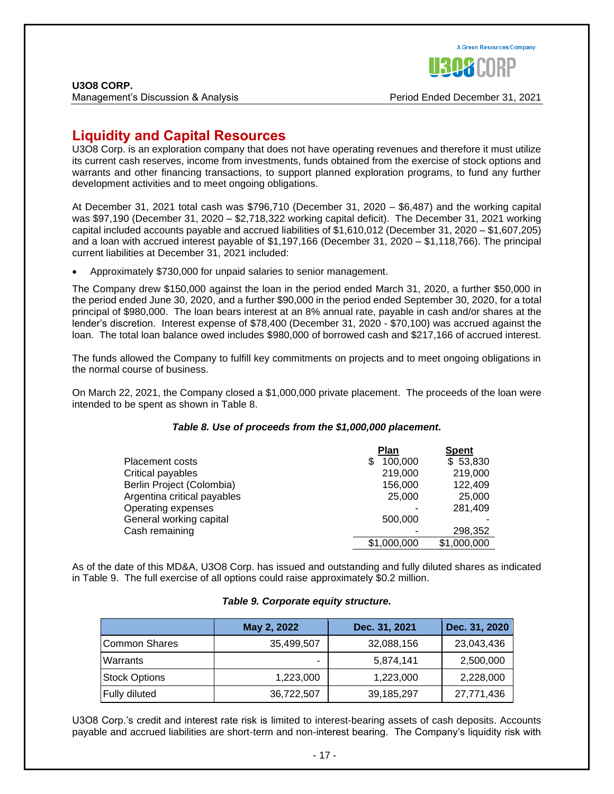

Management's Discussion & Analysis Period Ended December 31, 2021

### **Liquidity and Capital Resources**

U3O8 Corp. is an exploration company that does not have operating revenues and therefore it must utilize its current cash reserves, income from investments, funds obtained from the exercise of stock options and warrants and other financing transactions, to support planned exploration programs, to fund any further development activities and to meet ongoing obligations.

At December 31, 2021 total cash was \$796,710 (December 31, 2020 – \$6,487) and the working capital was \$97,190 (December 31, 2020 – \$2,718,322 working capital deficit). The December 31, 2021 working capital included accounts payable and accrued liabilities of \$1,610,012 (December 31, 2020 – \$1,607,205) and a loan with accrued interest payable of \$1,197,166 (December 31, 2020 – \$1,118,766). The principal current liabilities at December 31, 2021 included:

• Approximately \$730,000 for unpaid salaries to senior management.

The Company drew \$150,000 against the loan in the period ended March 31, 2020, a further \$50,000 in the period ended June 30, 2020, and a further \$90,000 in the period ended September 30, 2020, for a total principal of \$980,000. The loan bears interest at an 8% annual rate, payable in cash and/or shares at the lender's discretion. Interest expense of \$78,400 (December 31, 2020 - \$70,100) was accrued against the loan. The total loan balance owed includes \$980,000 of borrowed cash and \$217,166 of accrued interest.

The funds allowed the Company to fulfill key commitments on projects and to meet ongoing obligations in the normal course of business.

On March 22, 2021, the Company closed a \$1,000,000 private placement. The proceeds of the loan were intended to be spent as shown in Table 8.

#### *Table 8. Use of proceeds from the \$1,000,000 placement.*

|                             | <b>Plan</b>  | <b>Spent</b> |
|-----------------------------|--------------|--------------|
| <b>Placement costs</b>      | 100,000<br>S | \$53,830     |
| Critical payables           | 219,000      | 219,000      |
| Berlin Project (Colombia)   | 156,000      | 122,409      |
| Argentina critical payables | 25,000       | 25,000       |
| Operating expenses          |              | 281,409      |
| General working capital     | 500,000      |              |
| Cash remaining              |              | 298.352      |
|                             | \$1,000,000  | \$1,000,000  |

As of the date of this MD&A, U3O8 Corp. has issued and outstanding and fully diluted shares as indicated in Table 9. The full exercise of all options could raise approximately \$0.2 million.

#### *Table 9. Corporate equity structure.*

|                      | May 2, 2022 | Dec. 31, 2021 | Dec. 31, 2020 |
|----------------------|-------------|---------------|---------------|
| Common Shares        | 35,499,507  | 32,088,156    | 23,043,436    |
| Warrants             |             | 5,874,141     | 2,500,000     |
| <b>Stock Options</b> | 1,223,000   | 1,223,000     | 2,228,000     |
| Fully diluted        | 36,722,507  | 39,185,297    | 27,771,436    |

U3O8 Corp.'s credit and interest rate risk is limited to interest-bearing assets of cash deposits. Accounts payable and accrued liabilities are short-term and non-interest bearing. The Company's liquidity risk with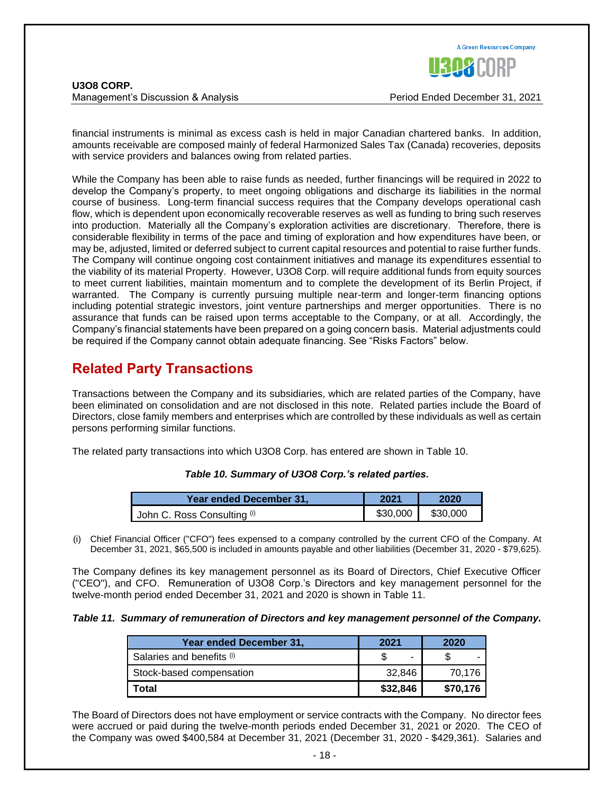**U3O8 CORP.** Management's Discussion & Analysis Period Ended December 31, 2021



financial instruments is minimal as excess cash is held in major Canadian chartered banks. In addition, amounts receivable are composed mainly of federal Harmonized Sales Tax (Canada) recoveries, deposits with service providers and balances owing from related parties.

While the Company has been able to raise funds as needed, further financings will be required in 2022 to develop the Company's property, to meet ongoing obligations and discharge its liabilities in the normal course of business. Long-term financial success requires that the Company develops operational cash flow, which is dependent upon economically recoverable reserves as well as funding to bring such reserves into production. Materially all the Company's exploration activities are discretionary. Therefore, there is considerable flexibility in terms of the pace and timing of exploration and how expenditures have been, or may be, adjusted, limited or deferred subject to current capital resources and potential to raise further funds. The Company will continue ongoing cost containment initiatives and manage its expenditures essential to the viability of its material Property. However, U3O8 Corp. will require additional funds from equity sources to meet current liabilities, maintain momentum and to complete the development of its Berlin Project, if warranted. The Company is currently pursuing multiple near-term and longer-term financing options including potential strategic investors, joint venture partnerships and merger opportunities. There is no assurance that funds can be raised upon terms acceptable to the Company, or at all. Accordingly, the Company's financial statements have been prepared on a going concern basis. Material adjustments could be required if the Company cannot obtain adequate financing. See "Risks Factors" below.

## **Related Party Transactions**

Transactions between the Company and its subsidiaries, which are related parties of the Company, have been eliminated on consolidation and are not disclosed in this note. Related parties include the Board of Directors, close family members and enterprises which are controlled by these individuals as well as certain persons performing similar functions.

The related party transactions into which U3O8 Corp. has entered are shown in Table 10.

#### *Table 10. Summary of U3O8 Corp.'s related parties.*

| Year ended December 31.     | 2021     | 2020     |
|-----------------------------|----------|----------|
| John C. Ross Consulting (i) | \$30,000 | \$30,000 |

(i) Chief Financial Officer ("CFO") fees expensed to a company controlled by the current CFO of the Company. At December 31, 2021, \$65,500 is included in amounts payable and other liabilities (December 31, 2020 - \$79,625).

The Company defines its key management personnel as its Board of Directors, Chief Executive Officer ("CEO"), and CFO. Remuneration of U3O8 Corp.'s Directors and key management personnel for the twelve-month period ended December 31, 2021 and 2020 is shown in Table 11.

#### *Table 11. Summary of remuneration of Directors and key management personnel of the Company.*

| Year ended December 31,   | 2021     | 2020     |
|---------------------------|----------|----------|
| Salaries and benefits (i) | -        | -        |
| Stock-based compensation  | 32.846   | 70.176   |
| Total                     | \$32,846 | \$70,176 |

The Board of Directors does not have employment or service contracts with the Company. No director fees were accrued or paid during the twelve-month periods ended December 31, 2021 or 2020. The CEO of the Company was owed \$400,584 at December 31, 2021 (December 31, 2020 - \$429,361). Salaries and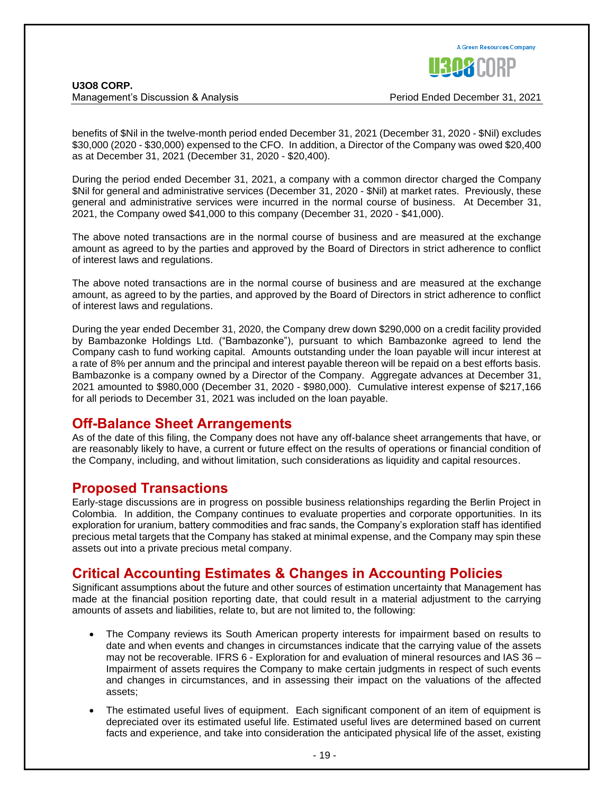

benefits of \$Nil in the twelve-month period ended December 31, 2021 (December 31, 2020 - \$Nil) excludes \$30,000 (2020 - \$30,000) expensed to the CFO. In addition, a Director of the Company was owed \$20,400 as at December 31, 2021 (December 31, 2020 - \$20,400).

During the period ended December 31, 2021, a company with a common director charged the Company \$Nil for general and administrative services (December 31, 2020 - \$Nil) at market rates. Previously, these general and administrative services were incurred in the normal course of business. At December 31, 2021, the Company owed \$41,000 to this company (December 31, 2020 - \$41,000).

The above noted transactions are in the normal course of business and are measured at the exchange amount as agreed to by the parties and approved by the Board of Directors in strict adherence to conflict of interest laws and regulations.

The above noted transactions are in the normal course of business and are measured at the exchange amount, as agreed to by the parties, and approved by the Board of Directors in strict adherence to conflict of interest laws and regulations.

During the year ended December 31, 2020, the Company drew down \$290,000 on a credit facility provided by Bambazonke Holdings Ltd. ("Bambazonke"), pursuant to which Bambazonke agreed to lend the Company cash to fund working capital. Amounts outstanding under the loan payable will incur interest at a rate of 8% per annum and the principal and interest payable thereon will be repaid on a best efforts basis. Bambazonke is a company owned by a Director of the Company. Aggregate advances at December 31, 2021 amounted to \$980,000 (December 31, 2020 - \$980,000). Cumulative interest expense of \$217,166 for all periods to December 31, 2021 was included on the loan payable.

### **Off-Balance Sheet Arrangements**

As of the date of this filing, the Company does not have any off-balance sheet arrangements that have, or are reasonably likely to have, a current or future effect on the results of operations or financial condition of the Company, including, and without limitation, such considerations as liquidity and capital resources.

### **Proposed Transactions**

Early-stage discussions are in progress on possible business relationships regarding the Berlin Project in Colombia. In addition, the Company continues to evaluate properties and corporate opportunities. In its exploration for uranium, battery commodities and frac sands, the Company's exploration staff has identified precious metal targets that the Company has staked at minimal expense, and the Company may spin these assets out into a private precious metal company.

### **Critical Accounting Estimates & Changes in Accounting Policies**

Significant assumptions about the future and other sources of estimation uncertainty that Management has made at the financial position reporting date, that could result in a material adjustment to the carrying amounts of assets and liabilities, relate to, but are not limited to, the following:

- The Company reviews its South American property interests for impairment based on results to date and when events and changes in circumstances indicate that the carrying value of the assets may not be recoverable. IFRS 6 - Exploration for and evaluation of mineral resources and IAS 36 – Impairment of assets requires the Company to make certain judgments in respect of such events and changes in circumstances, and in assessing their impact on the valuations of the affected assets;
- The estimated useful lives of equipment. Each significant component of an item of equipment is depreciated over its estimated useful life. Estimated useful lives are determined based on current facts and experience, and take into consideration the anticipated physical life of the asset, existing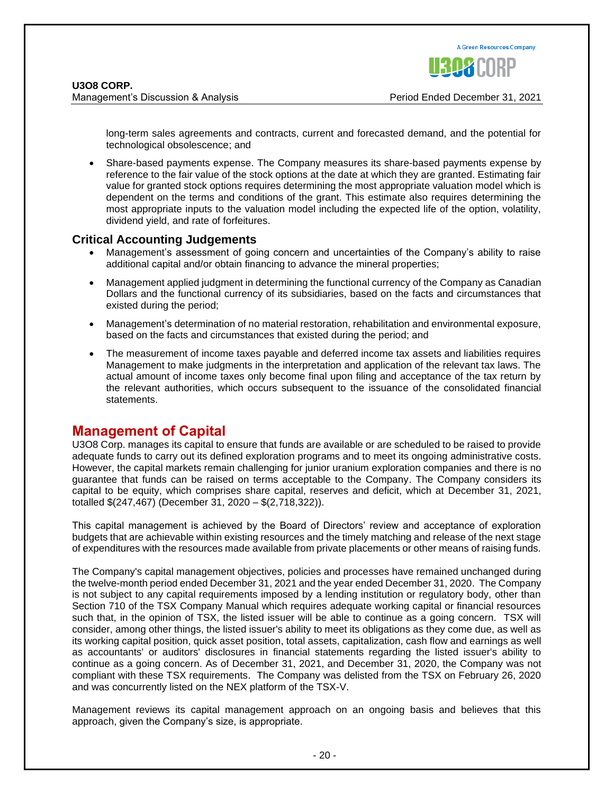Management's Discussion & Analysis Period Ended December 31, 2021

long-term sales agreements and contracts, current and forecasted demand, and the potential for technological obsolescence; and

• Share-based payments expense. The Company measures its share-based payments expense by reference to the fair value of the stock options at the date at which they are granted. Estimating fair value for granted stock options requires determining the most appropriate valuation model which is dependent on the terms and conditions of the grant. This estimate also requires determining the most appropriate inputs to the valuation model including the expected life of the option, volatility, dividend yield, and rate of forfeitures.

### **Critical Accounting Judgements**

- Management's assessment of going concern and uncertainties of the Company's ability to raise additional capital and/or obtain financing to advance the mineral properties;
- Management applied judgment in determining the functional currency of the Company as Canadian Dollars and the functional currency of its subsidiaries, based on the facts and circumstances that existed during the period;
- Management's determination of no material restoration, rehabilitation and environmental exposure, based on the facts and circumstances that existed during the period; and
- The measurement of income taxes payable and deferred income tax assets and liabilities requires Management to make judgments in the interpretation and application of the relevant tax laws. The actual amount of income taxes only become final upon filing and acceptance of the tax return by the relevant authorities, which occurs subsequent to the issuance of the consolidated financial statements.

### **Management of Capital**

U3O8 Corp. manages its capital to ensure that funds are available or are scheduled to be raised to provide adequate funds to carry out its defined exploration programs and to meet its ongoing administrative costs. However, the capital markets remain challenging for junior uranium exploration companies and there is no guarantee that funds can be raised on terms acceptable to the Company. The Company considers its capital to be equity, which comprises share capital, reserves and deficit, which at December 31, 2021, totalled \$(247,467) (December 31, 2020 – \$(2,718,322)).

This capital management is achieved by the Board of Directors' review and acceptance of exploration budgets that are achievable within existing resources and the timely matching and release of the next stage of expenditures with the resources made available from private placements or other means of raising funds.

The Company's capital management objectives, policies and processes have remained unchanged during the twelve-month period ended December 31, 2021 and the year ended December 31, 2020. The Company is not subject to any capital requirements imposed by a lending institution or regulatory body, other than Section 710 of the TSX Company Manual which requires adequate working capital or financial resources such that, in the opinion of TSX, the listed issuer will be able to continue as a going concern. TSX will consider, among other things, the listed issuer's ability to meet its obligations as they come due, as well as its working capital position, quick asset position, total assets, capitalization, cash flow and earnings as well as accountants' or auditors' disclosures in financial statements regarding the listed issuer's ability to continue as a going concern. As of December 31, 2021, and December 31, 2020, the Company was not compliant with these TSX requirements. The Company was delisted from the TSX on February 26, 2020 and was concurrently listed on the NEX platform of the TSX-V.

Management reviews its capital management approach on an ongoing basis and believes that this approach, given the Company's size, is appropriate.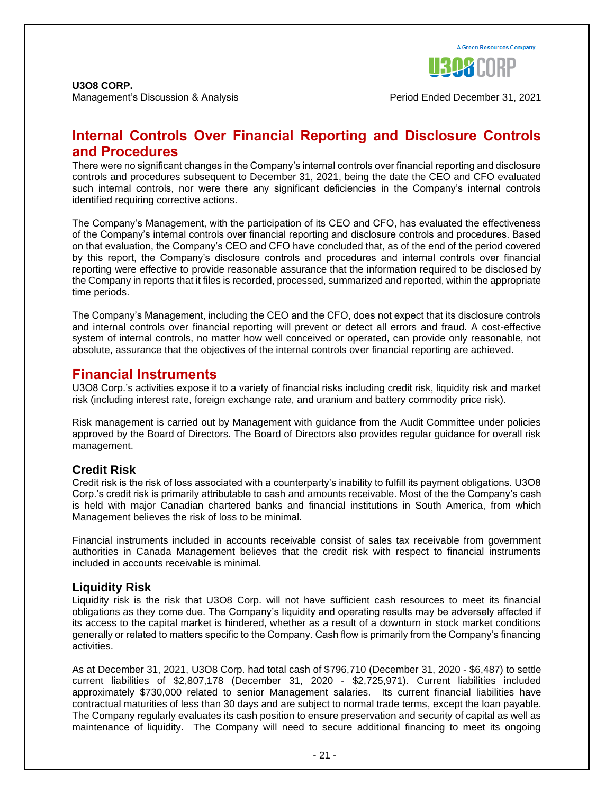### **Internal Controls Over Financial Reporting and Disclosure Controls and Procedures**

There were no significant changes in the Company's internal controls over financial reporting and disclosure controls and procedures subsequent to December 31, 2021, being the date the CEO and CFO evaluated such internal controls, nor were there any significant deficiencies in the Company's internal controls identified requiring corrective actions.

The Company's Management, with the participation of its CEO and CFO, has evaluated the effectiveness of the Company's internal controls over financial reporting and disclosure controls and procedures. Based on that evaluation, the Company's CEO and CFO have concluded that, as of the end of the period covered by this report, the Company's disclosure controls and procedures and internal controls over financial reporting were effective to provide reasonable assurance that the information required to be disclosed by the Company in reports that it files is recorded, processed, summarized and reported, within the appropriate time periods.

The Company's Management, including the CEO and the CFO, does not expect that its disclosure controls and internal controls over financial reporting will prevent or detect all errors and fraud. A cost-effective system of internal controls, no matter how well conceived or operated, can provide only reasonable, not absolute, assurance that the objectives of the internal controls over financial reporting are achieved.

### **Financial Instruments**

U3O8 Corp.'s activities expose it to a variety of financial risks including credit risk, liquidity risk and market risk (including interest rate, foreign exchange rate, and uranium and battery commodity price risk).

Risk management is carried out by Management with guidance from the Audit Committee under policies approved by the Board of Directors. The Board of Directors also provides regular guidance for overall risk management.

### **Credit Risk**

Credit risk is the risk of loss associated with a counterparty's inability to fulfill its payment obligations. U3O8 Corp.'s credit risk is primarily attributable to cash and amounts receivable. Most of the the Company's cash is held with major Canadian chartered banks and financial institutions in South America, from which Management believes the risk of loss to be minimal.

Financial instruments included in accounts receivable consist of sales tax receivable from government authorities in Canada Management believes that the credit risk with respect to financial instruments included in accounts receivable is minimal.

### **Liquidity Risk**

Liquidity risk is the risk that U3O8 Corp. will not have sufficient cash resources to meet its financial obligations as they come due. The Company's liquidity and operating results may be adversely affected if its access to the capital market is hindered, whether as a result of a downturn in stock market conditions generally or related to matters specific to the Company. Cash flow is primarily from the Company's financing activities.

As at December 31, 2021, U3O8 Corp. had total cash of \$796,710 (December 31, 2020 - \$6,487) to settle current liabilities of \$2,807,178 (December 31, 2020 - \$2,725,971). Current liabilities included approximately \$730,000 related to senior Management salaries. Its current financial liabilities have contractual maturities of less than 30 days and are subject to normal trade terms, except the loan payable. The Company regularly evaluates its cash position to ensure preservation and security of capital as well as maintenance of liquidity. The Company will need to secure additional financing to meet its ongoing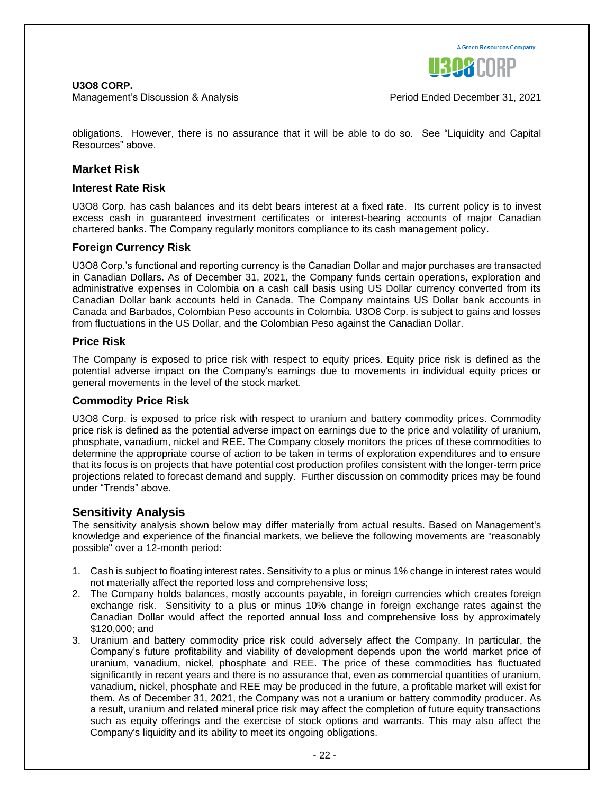**A Green Resources Company** 

obligations. However, there is no assurance that it will be able to do so. See "Liquidity and Capital Resources" above.

#### **Market Risk**

#### **Interest Rate Risk**

U3O8 Corp. has cash balances and its debt bears interest at a fixed rate. Its current policy is to invest excess cash in guaranteed investment certificates or interest-bearing accounts of major Canadian chartered banks. The Company regularly monitors compliance to its cash management policy.

#### **Foreign Currency Risk**

U3O8 Corp.'s functional and reporting currency is the Canadian Dollar and major purchases are transacted in Canadian Dollars. As of December 31, 2021, the Company funds certain operations, exploration and administrative expenses in Colombia on a cash call basis using US Dollar currency converted from its Canadian Dollar bank accounts held in Canada. The Company maintains US Dollar bank accounts in Canada and Barbados, Colombian Peso accounts in Colombia. U3O8 Corp. is subject to gains and losses from fluctuations in the US Dollar, and the Colombian Peso against the Canadian Dollar.

#### **Price Risk**

The Company is exposed to price risk with respect to equity prices. Equity price risk is defined as the potential adverse impact on the Company's earnings due to movements in individual equity prices or general movements in the level of the stock market.

#### **Commodity Price Risk**

U3O8 Corp. is exposed to price risk with respect to uranium and battery commodity prices. Commodity price risk is defined as the potential adverse impact on earnings due to the price and volatility of uranium, phosphate, vanadium, nickel and REE. The Company closely monitors the prices of these commodities to determine the appropriate course of action to be taken in terms of exploration expenditures and to ensure that its focus is on projects that have potential cost production profiles consistent with the longer-term price projections related to forecast demand and supply. Further discussion on commodity prices may be found under "Trends" above.

#### **Sensitivity Analysis**

The sensitivity analysis shown below may differ materially from actual results. Based on Management's knowledge and experience of the financial markets, we believe the following movements are "reasonably possible" over a 12-month period:

- 1. Cash is subject to floating interest rates. Sensitivity to a plus or minus 1% change in interest rates would not materially affect the reported loss and comprehensive loss;
- 2. The Company holds balances, mostly accounts payable, in foreign currencies which creates foreign exchange risk. Sensitivity to a plus or minus 10% change in foreign exchange rates against the Canadian Dollar would affect the reported annual loss and comprehensive loss by approximately \$120,000; and
- 3. Uranium and battery commodity price risk could adversely affect the Company. In particular, the Company's future profitability and viability of development depends upon the world market price of uranium, vanadium, nickel, phosphate and REE. The price of these commodities has fluctuated significantly in recent years and there is no assurance that, even as commercial quantities of uranium, vanadium, nickel, phosphate and REE may be produced in the future, a profitable market will exist for them. As of December 31, 2021, the Company was not a uranium or battery commodity producer. As a result, uranium and related mineral price risk may affect the completion of future equity transactions such as equity offerings and the exercise of stock options and warrants. This may also affect the Company's liquidity and its ability to meet its ongoing obligations.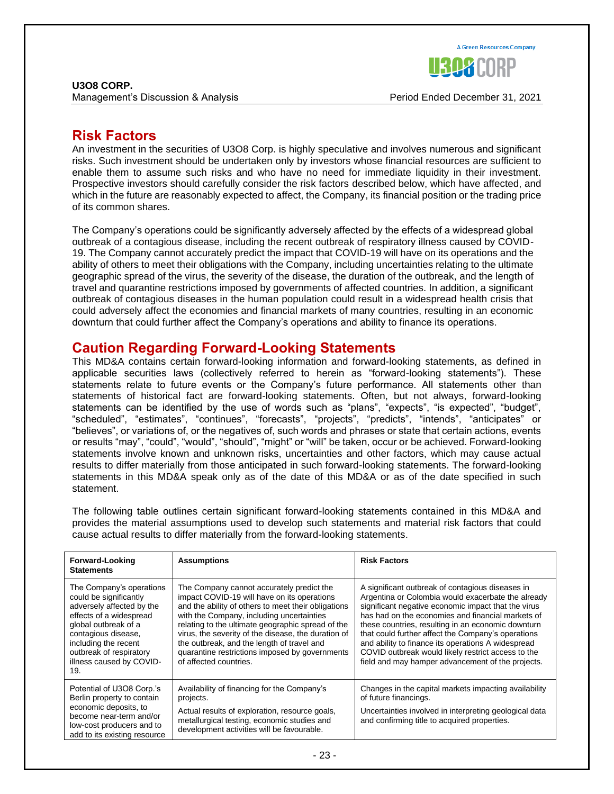**U3O8 CORP.** Management's Discussion & Analysis Period Ended December 31, 2021

### **Risk Factors**

An investment in the securities of U3O8 Corp. is highly speculative and involves numerous and significant risks. Such investment should be undertaken only by investors whose financial resources are sufficient to enable them to assume such risks and who have no need for immediate liquidity in their investment. Prospective investors should carefully consider the risk factors described below, which have affected, and which in the future are reasonably expected to affect, the Company, its financial position or the trading price of its common shares.

The Company's operations could be significantly adversely affected by the effects of a widespread global outbreak of a contagious disease, including the recent outbreak of respiratory illness caused by COVID-19. The Company cannot accurately predict the impact that COVID-19 will have on its operations and the ability of others to meet their obligations with the Company, including uncertainties relating to the ultimate geographic spread of the virus, the severity of the disease, the duration of the outbreak, and the length of travel and quarantine restrictions imposed by governments of affected countries. In addition, a significant outbreak of contagious diseases in the human population could result in a widespread health crisis that could adversely affect the economies and financial markets of many countries, resulting in an economic downturn that could further affect the Company's operations and ability to finance its operations.

### **Caution Regarding Forward-Looking Statements**

This MD&A contains certain forward-looking information and forward-looking statements, as defined in applicable securities laws (collectively referred to herein as "forward-looking statements"). These statements relate to future events or the Company's future performance. All statements other than statements of historical fact are forward-looking statements. Often, but not always, forward-looking statements can be identified by the use of words such as "plans", "expects", "is expected", "budget", "scheduled", "estimates", "continues", "forecasts", "projects", "predicts", "intends", "anticipates" or "believes", or variations of, or the negatives of, such words and phrases or state that certain actions, events or results "may", "could", "would", "should", "might" or "will" be taken, occur or be achieved. Forward-looking statements involve known and unknown risks, uncertainties and other factors, which may cause actual results to differ materially from those anticipated in such forward-looking statements. The forward-looking statements in this MD&A speak only as of the date of this MD&A or as of the date specified in such statement.

The following table outlines certain significant forward-looking statements contained in this MD&A and provides the material assumptions used to develop such statements and material risk factors that could cause actual results to differ materially from the forward-looking statements.

| <b>Forward-Looking</b><br><b>Statements</b>                                                                                                                                                                                                     | <b>Assumptions</b>                                                                                                                                                                                                                                                                                                                                                                                                                 | <b>Risk Factors</b>                                                                                                                                                                                                                                                                                                                                                                                                                                                                             |
|-------------------------------------------------------------------------------------------------------------------------------------------------------------------------------------------------------------------------------------------------|------------------------------------------------------------------------------------------------------------------------------------------------------------------------------------------------------------------------------------------------------------------------------------------------------------------------------------------------------------------------------------------------------------------------------------|-------------------------------------------------------------------------------------------------------------------------------------------------------------------------------------------------------------------------------------------------------------------------------------------------------------------------------------------------------------------------------------------------------------------------------------------------------------------------------------------------|
| The Company's operations<br>could be significantly<br>adversely affected by the<br>effects of a widespread<br>global outbreak of a<br>contagious disease,<br>including the recent<br>outbreak of respiratory<br>illness caused by COVID-<br>19. | The Company cannot accurately predict the<br>impact COVID-19 will have on its operations<br>and the ability of others to meet their obligations<br>with the Company, including uncertainties<br>relating to the ultimate geographic spread of the<br>virus, the severity of the disease, the duration of<br>the outbreak, and the length of travel and<br>quarantine restrictions imposed by governments<br>of affected countries. | A significant outbreak of contagious diseases in<br>Argentina or Colombia would exacerbate the already<br>significant negative economic impact that the virus<br>has had on the economies and financial markets of<br>these countries, resulting in an economic downturn<br>that could further affect the Company's operations<br>and ability to finance its operations A widespread<br>COVID outbreak would likely restrict access to the<br>field and may hamper advancement of the projects. |
| Potential of U3O8 Corp.'s<br>Berlin property to contain<br>economic deposits, to<br>become near-term and/or<br>low-cost producers and to<br>add to its existing resource                                                                        | Availability of financing for the Company's<br>projects.<br>Actual results of exploration, resource goals,<br>metallurgical testing, economic studies and<br>development activities will be favourable.                                                                                                                                                                                                                            | Changes in the capital markets impacting availability<br>of future financings.<br>Uncertainties involved in interpreting geological data<br>and confirming title to acquired properties.                                                                                                                                                                                                                                                                                                        |

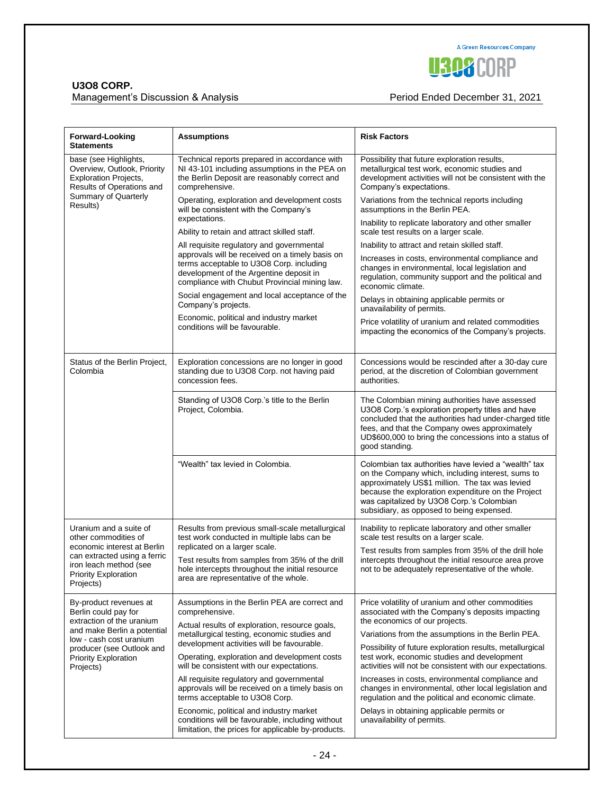

### Management's Discussion & Analysis **Period Ended December 31, 2021**

| <b>Forward-Looking</b><br>Statements                                                                                                                                                                           | <b>Assumptions</b>                                                                                                                                                                                                                   | <b>Risk Factors</b>                                                                                                                                                                                                                                                                                          |
|----------------------------------------------------------------------------------------------------------------------------------------------------------------------------------------------------------------|--------------------------------------------------------------------------------------------------------------------------------------------------------------------------------------------------------------------------------------|--------------------------------------------------------------------------------------------------------------------------------------------------------------------------------------------------------------------------------------------------------------------------------------------------------------|
| base (see Highlights,<br>Overview, Outlook, Priority<br><b>Exploration Projects,</b><br>Results of Operations and<br>Summary of Quarterly<br>Results)                                                          | Technical reports prepared in accordance with<br>NI 43-101 including assumptions in the PEA on<br>the Berlin Deposit are reasonably correct and<br>comprehensive.                                                                    | Possibility that future exploration results,<br>metallurgical test work, economic studies and<br>development activities will not be consistent with the<br>Company's expectations.                                                                                                                           |
|                                                                                                                                                                                                                | Operating, exploration and development costs<br>will be consistent with the Company's<br>expectations.                                                                                                                               | Variations from the technical reports including<br>assumptions in the Berlin PEA.                                                                                                                                                                                                                            |
|                                                                                                                                                                                                                | Ability to retain and attract skilled staff.                                                                                                                                                                                         | Inability to replicate laboratory and other smaller<br>scale test results on a larger scale.                                                                                                                                                                                                                 |
|                                                                                                                                                                                                                | All requisite regulatory and governmental<br>approvals will be received on a timely basis on<br>terms acceptable to U3O8 Corp. including<br>development of the Argentine deposit in<br>compliance with Chubut Provincial mining law. | Inability to attract and retain skilled staff.                                                                                                                                                                                                                                                               |
|                                                                                                                                                                                                                |                                                                                                                                                                                                                                      | Increases in costs, environmental compliance and<br>changes in environmental, local legislation and<br>regulation, community support and the political and<br>economic climate.                                                                                                                              |
|                                                                                                                                                                                                                | Social engagement and local acceptance of the<br>Company's projects.                                                                                                                                                                 | Delays in obtaining applicable permits or<br>unavailability of permits.                                                                                                                                                                                                                                      |
|                                                                                                                                                                                                                | Economic, political and industry market<br>conditions will be favourable.                                                                                                                                                            | Price volatility of uranium and related commodities<br>impacting the economics of the Company's projects.                                                                                                                                                                                                    |
| Status of the Berlin Project,<br>Colombia                                                                                                                                                                      | Exploration concessions are no longer in good<br>standing due to U3O8 Corp. not having paid<br>concession fees.                                                                                                                      | Concessions would be rescinded after a 30-day cure<br>period, at the discretion of Colombian government<br>authorities.                                                                                                                                                                                      |
|                                                                                                                                                                                                                | Standing of U3O8 Corp.'s title to the Berlin<br>Project, Colombia.                                                                                                                                                                   | The Colombian mining authorities have assessed<br>U3O8 Corp.'s exploration property titles and have<br>concluded that the authorities had under-charged title<br>fees, and that the Company owes approximately<br>UD\$600,000 to bring the concessions into a status of<br>good standing.                    |
|                                                                                                                                                                                                                | "Wealth" tax levied in Colombia.                                                                                                                                                                                                     | Colombian tax authorities have levied a "wealth" tax<br>on the Company which, including interest, sums to<br>approximately US\$1 million. The tax was levied<br>because the exploration expenditure on the Project<br>was capitalized by U3O8 Corp.'s Colombian<br>subsidiary, as opposed to being expensed. |
| Uranium and a suite of<br>other commodities of<br>economic interest at Berlin<br>can extracted using a ferric<br>iron leach method (see<br>Priority Exploration<br>Projects)                                   | Results from previous small-scale metallurgical<br>test work conducted in multiple labs can be                                                                                                                                       | Inability to replicate laboratory and other smaller<br>scale test results on a larger scale.                                                                                                                                                                                                                 |
|                                                                                                                                                                                                                | replicated on a larger scale.<br>Test results from samples from 35% of the drill<br>hole intercepts throughout the initial resource<br>area are representative of the whole.                                                         | Test results from samples from 35% of the drill hole<br>intercepts throughout the initial resource area prove<br>not to be adequately representative of the whole.                                                                                                                                           |
| By-product revenues at<br>Berlin could pay for<br>extraction of the uranium<br>and make Berlin a potential<br>low - cash cost uranium<br>producer (see Outlook and<br><b>Priority Exploration</b><br>Projects) | Assumptions in the Berlin PEA are correct and<br>comprehensive.<br>Actual results of exploration, resource goals,<br>metallurgical testing, economic studies and                                                                     | Price volatility of uranium and other commodities<br>associated with the Company's deposits impacting<br>the economics of our projects.<br>Variations from the assumptions in the Berlin PEA.                                                                                                                |
|                                                                                                                                                                                                                | development activities will be favourable.<br>Operating, exploration and development costs<br>will be consistent with our expectations.                                                                                              | Possibility of future exploration results, metallurgical<br>test work, economic studies and development<br>activities will not be consistent with our expectations.                                                                                                                                          |
|                                                                                                                                                                                                                | All requisite regulatory and governmental<br>approvals will be received on a timely basis on<br>terms acceptable to U3O8 Corp.                                                                                                       | Increases in costs, environmental compliance and<br>changes in environmental, other local legislation and<br>regulation and the political and economic climate.                                                                                                                                              |
|                                                                                                                                                                                                                | Economic, political and industry market<br>conditions will be favourable, including without<br>limitation, the prices for applicable by-products.                                                                                    | Delays in obtaining applicable permits or<br>unavailability of permits.                                                                                                                                                                                                                                      |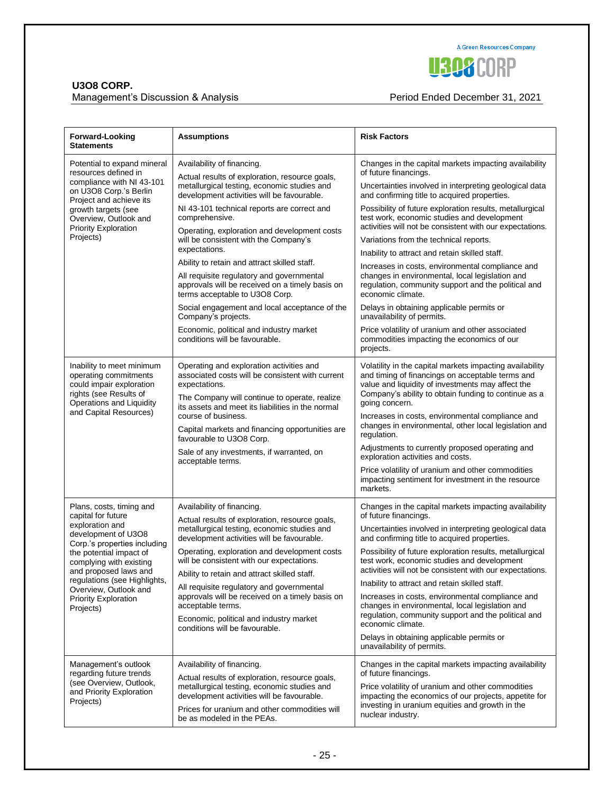

### Management's Discussion & Analysis **Period Ended December 31, 2021**

| <b>Forward-Looking</b><br><b>Statements</b>                                                                                                                                                                                                                                                                  | <b>Assumptions</b>                                                                                                                                                                                                                                                                                                                                                                                                                                                                                                                                                                                                                                                                          | <b>Risk Factors</b>                                                                                                                                                                                                                                                                                                                                                                                                                                                                                                                                                                                                                                                                                                                                                                                                                      |
|--------------------------------------------------------------------------------------------------------------------------------------------------------------------------------------------------------------------------------------------------------------------------------------------------------------|---------------------------------------------------------------------------------------------------------------------------------------------------------------------------------------------------------------------------------------------------------------------------------------------------------------------------------------------------------------------------------------------------------------------------------------------------------------------------------------------------------------------------------------------------------------------------------------------------------------------------------------------------------------------------------------------|------------------------------------------------------------------------------------------------------------------------------------------------------------------------------------------------------------------------------------------------------------------------------------------------------------------------------------------------------------------------------------------------------------------------------------------------------------------------------------------------------------------------------------------------------------------------------------------------------------------------------------------------------------------------------------------------------------------------------------------------------------------------------------------------------------------------------------------|
| Potential to expand mineral<br>resources defined in<br>compliance with NI 43-101<br>on U3O8 Corp.'s Berlin<br>Project and achieve its<br>growth targets (see<br>Overview, Outlook and<br><b>Priority Exploration</b><br>Projects)                                                                            | Availability of financing.<br>Actual results of exploration, resource goals,<br>metallurgical testing, economic studies and<br>development activities will be favourable.<br>NI 43-101 technical reports are correct and<br>comprehensive.<br>Operating, exploration and development costs<br>will be consistent with the Company's<br>expectations.<br>Ability to retain and attract skilled staff.<br>All requisite regulatory and governmental<br>approvals will be received on a timely basis on<br>terms acceptable to U3O8 Corp.<br>Social engagement and local acceptance of the<br>Company's projects.<br>Economic, political and industry market<br>conditions will be favourable. | Changes in the capital markets impacting availability<br>of future financings.<br>Uncertainties involved in interpreting geological data<br>and confirming title to acquired properties.<br>Possibility of future exploration results, metallurgical<br>test work, economic studies and development<br>activities will not be consistent with our expectations.<br>Variations from the technical reports.<br>Inability to attract and retain skilled staff.<br>Increases in costs, environmental compliance and<br>changes in environmental, local legislation and<br>regulation, community support and the political and<br>economic climate.<br>Delays in obtaining applicable permits or<br>unavailability of permits.<br>Price volatility of uranium and other associated<br>commodities impacting the economics of our<br>projects. |
| Inability to meet minimum<br>operating commitments<br>could impair exploration<br>rights (see Results of<br>Operations and Liquidity<br>and Capital Resources)                                                                                                                                               | Operating and exploration activities and<br>associated costs will be consistent with current<br>expectations.<br>The Company will continue to operate, realize<br>its assets and meet its liabilities in the normal<br>course of business.<br>Capital markets and financing opportunities are<br>favourable to U3O8 Corp.<br>Sale of any investments, if warranted, on<br>acceptable terms.                                                                                                                                                                                                                                                                                                 | Volatility in the capital markets impacting availability<br>and timing of financings on acceptable terms and<br>value and liquidity of investments may affect the<br>Company's ability to obtain funding to continue as a<br>going concern.<br>Increases in costs, environmental compliance and<br>changes in environmental, other local legislation and<br>regulation.<br>Adjustments to currently proposed operating and<br>exploration activities and costs.<br>Price volatility of uranium and other commodities<br>impacting sentiment for investment in the resource<br>markets.                                                                                                                                                                                                                                                   |
| Plans, costs, timing and<br>capital for future<br>exploration and<br>development of U3O8<br>Corp.'s properties including<br>the potential impact of<br>complying with existing<br>and proposed laws and<br>regulations (see Highlights,<br>Overview, Outlook and<br><b>Priority Exploration</b><br>Projects) | Availability of financing.<br>Actual results of exploration, resource goals,<br>metallurgical testing, economic studies and<br>development activities will be favourable.<br>Operating, exploration and development costs<br>will be consistent with our expectations.<br>Ability to retain and attract skilled staff.<br>All requisite regulatory and governmental<br>approvals will be received on a timely basis on<br>acceptable terms.<br>Economic, political and industry market<br>conditions will be favourable.                                                                                                                                                                    | Changes in the capital markets impacting availability<br>of future financings.<br>Uncertainties involved in interpreting geological data<br>and confirming title to acquired properties.<br>Possibility of future exploration results, metallurgical<br>test work, economic studies and development<br>activities will not be consistent with our expectations.<br>Inability to attract and retain skilled staff.<br>Increases in costs, environmental compliance and<br>changes in environmental, local legislation and<br>regulation, community support and the political and<br>economic climate.<br>Delays in obtaining applicable permits or<br>unavailability of permits.                                                                                                                                                          |
| Management's outlook<br>regarding future trends<br>(see Overview, Outlook,<br>and Priority Exploration<br>Projects)                                                                                                                                                                                          | Availability of financing.<br>Actual results of exploration, resource goals,<br>metallurgical testing, economic studies and<br>development activities will be favourable.<br>Prices for uranium and other commodities will<br>be as modeled in the PEAs.                                                                                                                                                                                                                                                                                                                                                                                                                                    | Changes in the capital markets impacting availability<br>of future financings.<br>Price volatility of uranium and other commodities<br>impacting the economics of our projects, appetite for<br>investing in uranium equities and growth in the<br>nuclear industry.                                                                                                                                                                                                                                                                                                                                                                                                                                                                                                                                                                     |